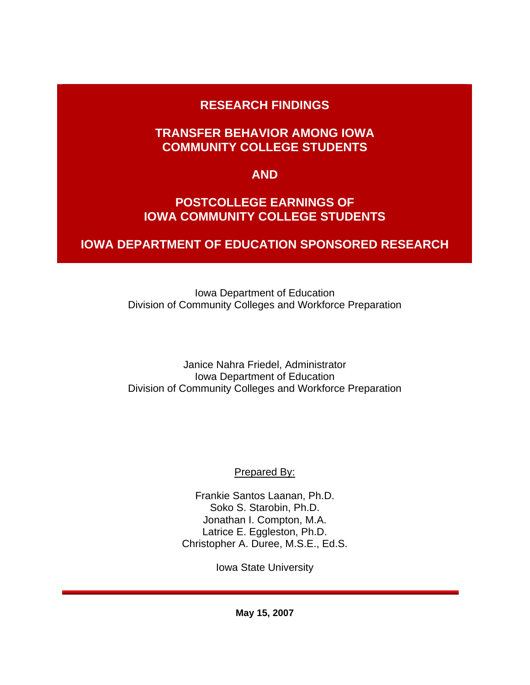# **RESEARCH FINDINGS**

## **TRANSFER BEHAVIOR AMONG IOWA COMMUNITY COLLEGE STUDENTS**

## **AND**

## **POSTCOLLEGE EARNINGS OF IOWA COMMUNITY COLLEGE STUDENTS**

# **IOWA DEPARTMENT OF EDUCATION SPONSORED RESEARCH**

Iowa Department of Education Division of Community Colleges and Workforce Preparation

Janice Nahra Friedel, Administrator Iowa Department of Education Division of Community Colleges and Workforce Preparation

Prepared By:

Frankie Santos Laanan, Ph.D. Soko S. Starobin, Ph.D. Jonathan I. Compton, M.A. Latrice E. Eggleston, Ph.D. Christopher A. Duree, M.S.E., Ed.S.

Iowa State University

**May 15, 2007**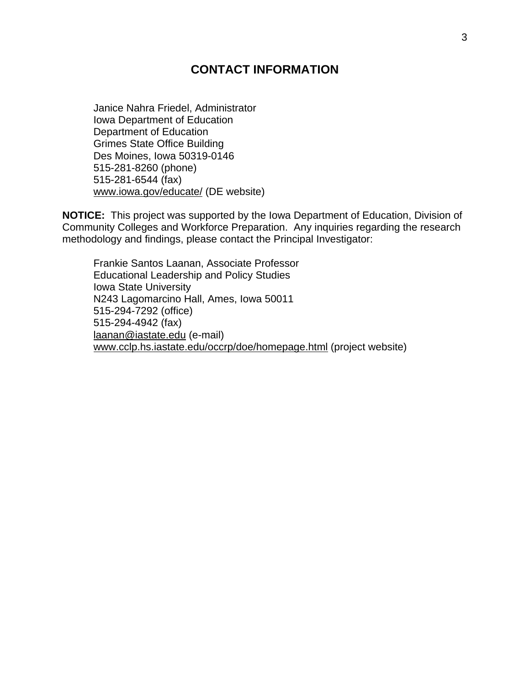## **CONTACT INFORMATION**

Janice Nahra Friedel, Administrator Iowa Department of Education Department of Education Grimes State Office Building Des Moines, Iowa 50319-0146 515-281-8260 (phone) 515-281-6544 (fax) www.iowa.gov/educate/ (DE website)

**NOTICE:** This project was supported by the Iowa Department of Education, Division of Community Colleges and Workforce Preparation. Any inquiries regarding the research methodology and findings, please contact the Principal Investigator:

Frankie Santos Laanan, Associate Professor Educational Leadership and Policy Studies Iowa State University N243 Lagomarcino Hall, Ames, Iowa 50011 515-294-7292 (office) 515-294-4942 (fax) laanan@iastate.edu (e-mail) www.cclp.hs.iastate.edu/occrp/doe/homepage.html (project website)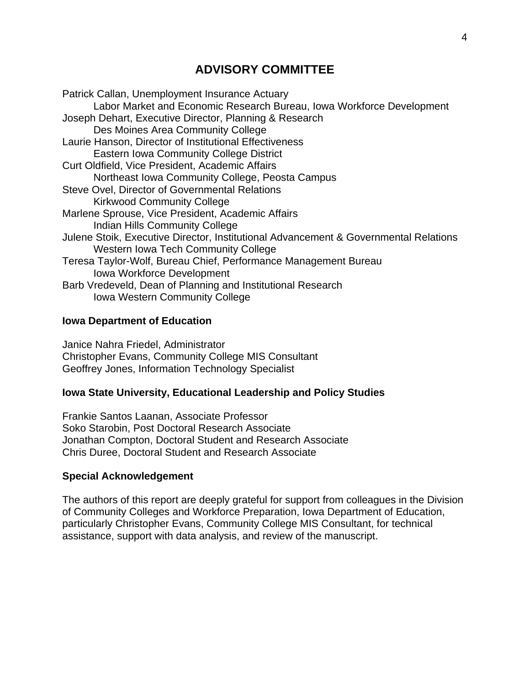## **ADVISORY COMMITTEE**

Patrick Callan, Unemployment Insurance Actuary Labor Market and Economic Research Bureau, Iowa Workforce Development Joseph Dehart, Executive Director, Planning & Research Des Moines Area Community College Laurie Hanson, Director of Institutional Effectiveness Eastern Iowa Community College District Curt Oldfield, Vice President, Academic Affairs Northeast Iowa Community College, Peosta Campus Steve Ovel, Director of Governmental Relations Kirkwood Community College Marlene Sprouse, Vice President, Academic Affairs Indian Hills Community College Julene Stoik, Executive Director, Institutional Advancement & Governmental Relations Western Iowa Tech Community College Teresa Taylor-Wolf, Bureau Chief, Performance Management Bureau Iowa Workforce Development Barb Vredeveld, Dean of Planning and Institutional Research Iowa Western Community College

#### **Iowa Department of Education**

Janice Nahra Friedel, Administrator Christopher Evans, Community College MIS Consultant Geoffrey Jones, Information Technology Specialist

#### **Iowa State University, Educational Leadership and Policy Studies**

Frankie Santos Laanan, Associate Professor Soko Starobin, Post Doctoral Research Associate Jonathan Compton, Doctoral Student and Research Associate Chris Duree, Doctoral Student and Research Associate

#### **Special Acknowledgement**

The authors of this report are deeply grateful for support from colleagues in the Division of Community Colleges and Workforce Preparation, Iowa Department of Education, particularly Christopher Evans, Community College MIS Consultant, for technical assistance, support with data analysis, and review of the manuscript.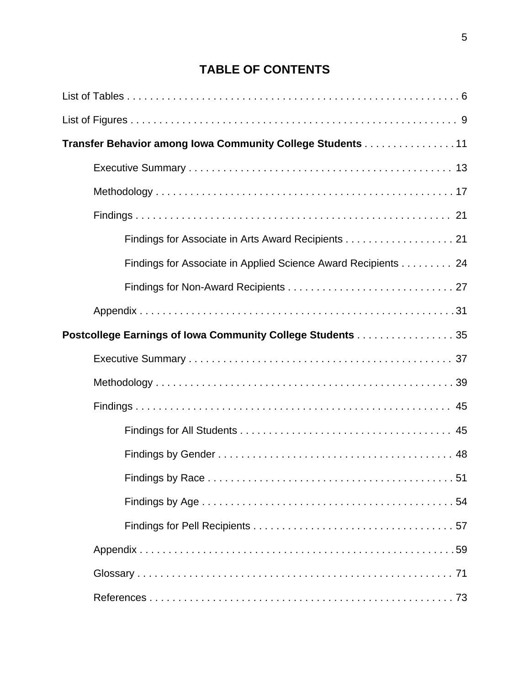# **TABLE OF CONTENTS**

| Transfer Behavior among Iowa Community College Students 11    |
|---------------------------------------------------------------|
|                                                               |
|                                                               |
|                                                               |
| Findings for Associate in Arts Award Recipients 21            |
| Findings for Associate in Applied Science Award Recipients 24 |
|                                                               |
|                                                               |
| Postcollege Earnings of Iowa Community College Students 35    |
|                                                               |
|                                                               |
|                                                               |
|                                                               |
|                                                               |
|                                                               |
|                                                               |
|                                                               |
|                                                               |
|                                                               |
|                                                               |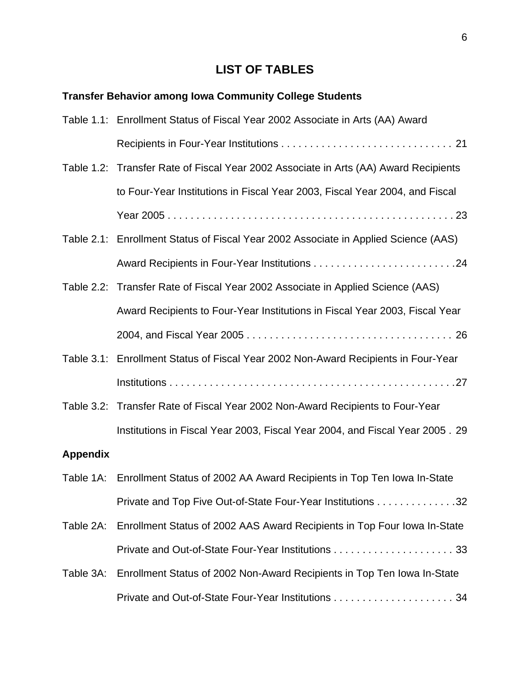# **LIST OF TABLES**

# **Transfer Behavior among Iowa Community College Students**

|                 | Table 1.1: Enrollment Status of Fiscal Year 2002 Associate in Arts (AA) Award        |
|-----------------|--------------------------------------------------------------------------------------|
|                 |                                                                                      |
|                 | Table 1.2: Transfer Rate of Fiscal Year 2002 Associate in Arts (AA) Award Recipients |
|                 | to Four-Year Institutions in Fiscal Year 2003, Fiscal Year 2004, and Fiscal          |
|                 |                                                                                      |
|                 | Table 2.1: Enrollment Status of Fiscal Year 2002 Associate in Applied Science (AAS)  |
|                 |                                                                                      |
|                 | Table 2.2: Transfer Rate of Fiscal Year 2002 Associate in Applied Science (AAS)      |
|                 | Award Recipients to Four-Year Institutions in Fiscal Year 2003, Fiscal Year          |
|                 |                                                                                      |
|                 | Table 3.1: Enrollment Status of Fiscal Year 2002 Non-Award Recipients in Four-Year   |
|                 |                                                                                      |
|                 | Table 3.2: Transfer Rate of Fiscal Year 2002 Non-Award Recipients to Four-Year       |
|                 | Institutions in Fiscal Year 2003, Fiscal Year 2004, and Fiscal Year 2005. 29         |
| <b>Appendix</b> |                                                                                      |
|                 | Table 1A: Enrollment Status of 2002 AA Award Recipients in Top Ten Iowa In-State     |
|                 | Private and Top Five Out-of-State Four-Year Institutions 32                          |
| Table 2A:       | Enrollment Status of 2002 AAS Award Recipients in Top Four Iowa In-State             |
|                 |                                                                                      |
|                 | Table 3A: Enrollment Status of 2002 Non-Award Recipients in Top Ten Iowa In-State    |
|                 |                                                                                      |
|                 |                                                                                      |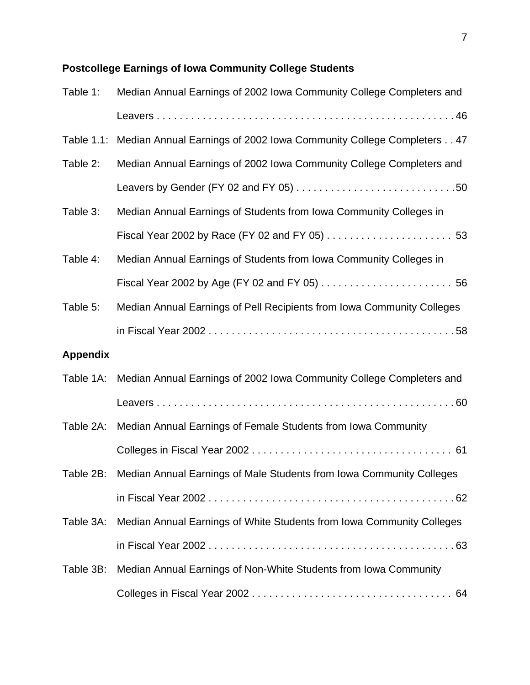# **Postcollege Earnings of Iowa Community College Students**

| Table 1:        | Median Annual Earnings of 2002 Iowa Community College Completers and           |
|-----------------|--------------------------------------------------------------------------------|
|                 |                                                                                |
|                 | Table 1.1: Median Annual Earnings of 2002 Iowa Community College Completers 47 |
| Table 2:        | Median Annual Earnings of 2002 Iowa Community College Completers and           |
|                 |                                                                                |
| Table 3:        | Median Annual Earnings of Students from Iowa Community Colleges in             |
|                 |                                                                                |
| Table 4:        | Median Annual Earnings of Students from Iowa Community Colleges in             |
|                 |                                                                                |
| Table 5:        | Median Annual Earnings of Pell Recipients from Iowa Community Colleges         |
|                 |                                                                                |
| <b>Appendix</b> |                                                                                |
|                 | Table 1A: Median Annual Earnings of 2002 Iowa Community College Completers and |
|                 |                                                                                |
|                 | Table 2A: Median Annual Earnings of Female Students from Iowa Community        |
|                 |                                                                                |
|                 | Table 2B: Median Annual Earnings of Male Students from Iowa Community Colleges |
|                 |                                                                                |
| Table 3A:       | Median Annual Earnings of White Students from Iowa Community Colleges          |
|                 |                                                                                |
| Table 3B:       | Median Annual Earnings of Non-White Students from Iowa Community               |
|                 |                                                                                |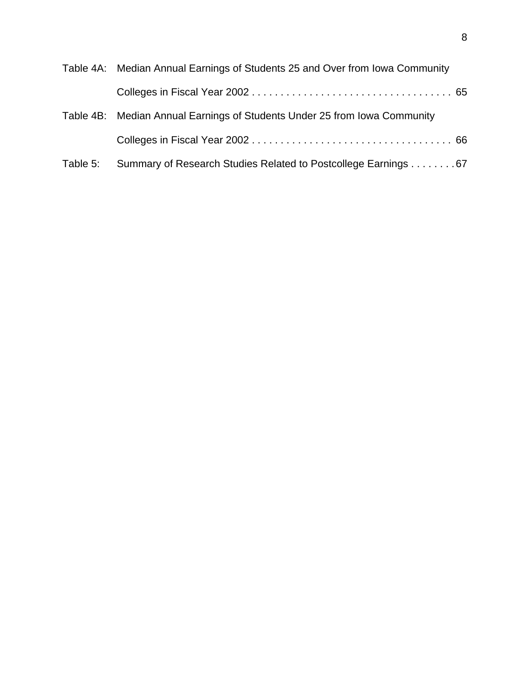|          | Table 4A: Median Annual Earnings of Students 25 and Over from Iowa Community |
|----------|------------------------------------------------------------------------------|
|          |                                                                              |
|          | Table 4B: Median Annual Earnings of Students Under 25 from Iowa Community    |
|          |                                                                              |
| Table 5: | Summary of Research Studies Related to Postcollege Earnings 67               |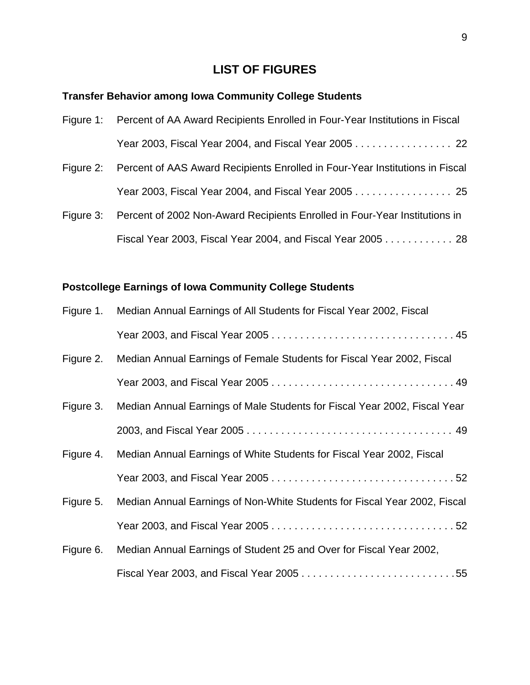## **LIST OF FIGURES**

### **Transfer Behavior among Iowa Community College Students**

| Figure 1: Percent of AA Award Recipients Enrolled in Four-Year Institutions in Fiscal |
|---------------------------------------------------------------------------------------|
|                                                                                       |

- Figure 2: Percent of AAS Award Recipients Enrolled in Four-Year Institutions in Fiscal Year 2003, Fiscal Year 2004, and Fiscal Year 2005 . . . . . . . . . . . . . . . . 25
- Figure 3: Percent of 2002 Non-Award Recipients Enrolled in Four-Year Institutions in Fiscal Year 2003, Fiscal Year 2004, and Fiscal Year 2005 . . . . . . . . . . . . 28

### **Postcollege Earnings of Iowa Community College Students**

| Figure 1. | Median Annual Earnings of All Students for Fiscal Year 2002, Fiscal       |
|-----------|---------------------------------------------------------------------------|
|           |                                                                           |
| Figure 2. | Median Annual Earnings of Female Students for Fiscal Year 2002, Fiscal    |
|           |                                                                           |
| Figure 3. | Median Annual Earnings of Male Students for Fiscal Year 2002, Fiscal Year |
|           |                                                                           |
| Figure 4. | Median Annual Earnings of White Students for Fiscal Year 2002, Fiscal     |
|           |                                                                           |
| Figure 5. | Median Annual Earnings of Non-White Students for Fiscal Year 2002, Fiscal |
|           |                                                                           |
| Figure 6. | Median Annual Earnings of Student 25 and Over for Fiscal Year 2002,       |
|           |                                                                           |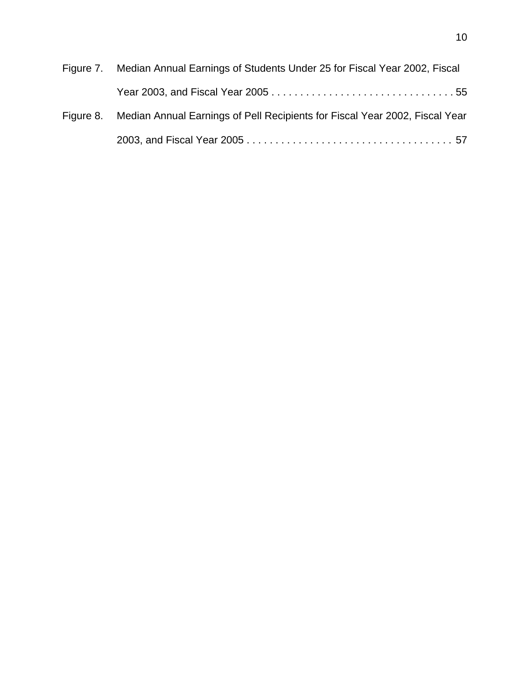| Figure 7. Median Annual Earnings of Students Under 25 for Fiscal Year 2002, Fiscal    |
|---------------------------------------------------------------------------------------|
|                                                                                       |
| Figure 8. Median Annual Earnings of Pell Recipients for Fiscal Year 2002, Fiscal Year |
|                                                                                       |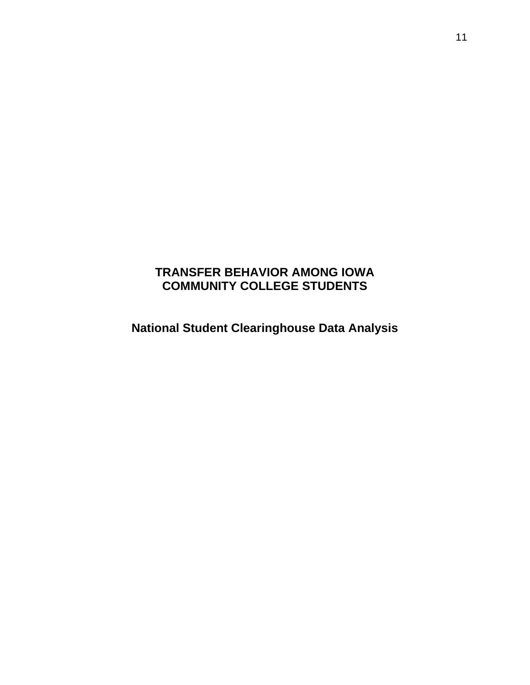# **TRANSFER BEHAVIOR AMONG IOWA COMMUNITY COLLEGE STUDENTS**

**National Student Clearinghouse Data Analysis**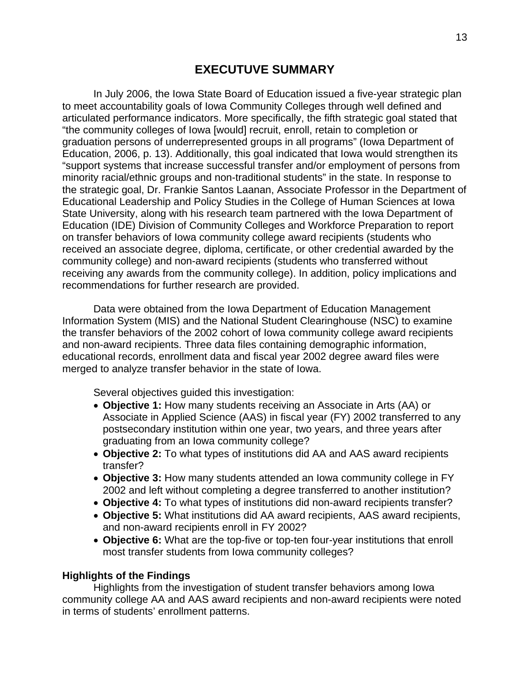In July 2006, the Iowa State Board of Education issued a five-year strategic plan to meet accountability goals of Iowa Community Colleges through well defined and articulated performance indicators. More specifically, the fifth strategic goal stated that "the community colleges of Iowa [would] recruit, enroll, retain to completion or graduation persons of underrepresented groups in all programs" (Iowa Department of Education, 2006, p. 13). Additionally, this goal indicated that Iowa would strengthen its "support systems that increase successful transfer and/or employment of persons from minority racial/ethnic groups and non-traditional students" in the state. In response to the strategic goal, Dr. Frankie Santos Laanan, Associate Professor in the Department of Educational Leadership and Policy Studies in the College of Human Sciences at Iowa State University, along with his research team partnered with the Iowa Department of Education (IDE) Division of Community Colleges and Workforce Preparation to report on transfer behaviors of Iowa community college award recipients (students who received an associate degree, diploma, certificate, or other credential awarded by the community college) and non-award recipients (students who transferred without receiving any awards from the community college). In addition, policy implications and recommendations for further research are provided.

 Data were obtained from the Iowa Department of Education Management Information System (MIS) and the National Student Clearinghouse (NSC) to examine the transfer behaviors of the 2002 cohort of Iowa community college award recipients and non-award recipients. Three data files containing demographic information, educational records, enrollment data and fiscal year 2002 degree award files were merged to analyze transfer behavior in the state of Iowa.

Several objectives guided this investigation:

- **Objective 1:** How many students receiving an Associate in Arts (AA) or Associate in Applied Science (AAS) in fiscal year (FY) 2002 transferred to any postsecondary institution within one year, two years, and three years after graduating from an Iowa community college?
- **Objective 2:** To what types of institutions did AA and AAS award recipients transfer?
- **Objective 3:** How many students attended an Iowa community college in FY 2002 and left without completing a degree transferred to another institution?
- **Objective 4:** To what types of institutions did non-award recipients transfer?
- **Objective 5:** What institutions did AA award recipients, AAS award recipients, and non-award recipients enroll in FY 2002?
- **Objective 6:** What are the top-five or top-ten four-year institutions that enroll most transfer students from Iowa community colleges?

#### **Highlights of the Findings**

 Highlights from the investigation of student transfer behaviors among Iowa community college AA and AAS award recipients and non-award recipients were noted in terms of students' enrollment patterns.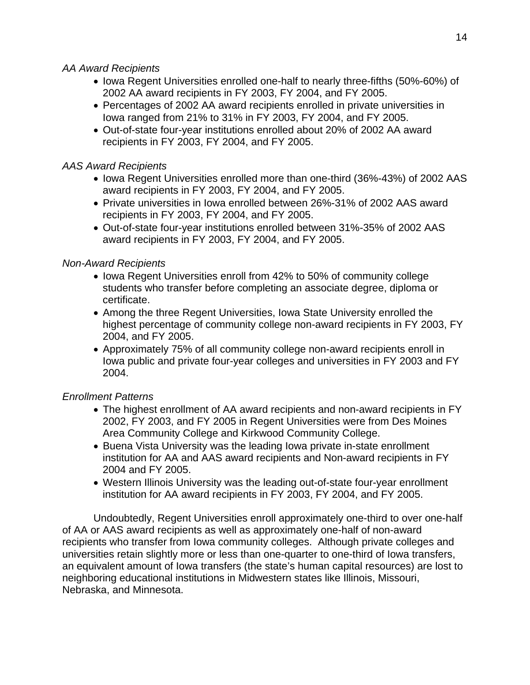#### *AA Award Recipients*

- Iowa Regent Universities enrolled one-half to nearly three-fifths (50%-60%) of 2002 AA award recipients in FY 2003, FY 2004, and FY 2005.
- Percentages of 2002 AA award recipients enrolled in private universities in Iowa ranged from 21% to 31% in FY 2003, FY 2004, and FY 2005.
- Out-of-state four-year institutions enrolled about 20% of 2002 AA award recipients in FY 2003, FY 2004, and FY 2005.

### *AAS Award Recipients*

- Iowa Regent Universities enrolled more than one-third (36%-43%) of 2002 AAS award recipients in FY 2003, FY 2004, and FY 2005.
- Private universities in Iowa enrolled between 26%-31% of 2002 AAS award recipients in FY 2003, FY 2004, and FY 2005.
- Out-of-state four-year institutions enrolled between 31%-35% of 2002 AAS award recipients in FY 2003, FY 2004, and FY 2005.

## *Non-Award Recipients*

- Iowa Regent Universities enroll from 42% to 50% of community college students who transfer before completing an associate degree, diploma or certificate.
- Among the three Regent Universities, Iowa State University enrolled the highest percentage of community college non-award recipients in FY 2003, FY 2004, and FY 2005.
- Approximately 75% of all community college non-award recipients enroll in Iowa public and private four-year colleges and universities in FY 2003 and FY 2004.

## *Enrollment Patterns*

- The highest enrollment of AA award recipients and non-award recipients in FY 2002, FY 2003, and FY 2005 in Regent Universities were from Des Moines Area Community College and Kirkwood Community College.
- Buena Vista University was the leading Iowa private in-state enrollment institution for AA and AAS award recipients and Non-award recipients in FY 2004 and FY 2005.
- Western Illinois University was the leading out-of-state four-year enrollment institution for AA award recipients in FY 2003, FY 2004, and FY 2005.

Undoubtedly, Regent Universities enroll approximately one-third to over one-half of AA or AAS award recipients as well as approximately one-half of non-award recipients who transfer from Iowa community colleges. Although private colleges and universities retain slightly more or less than one-quarter to one-third of Iowa transfers, an equivalent amount of Iowa transfers (the state's human capital resources) are lost to neighboring educational institutions in Midwestern states like Illinois, Missouri, Nebraska, and Minnesota.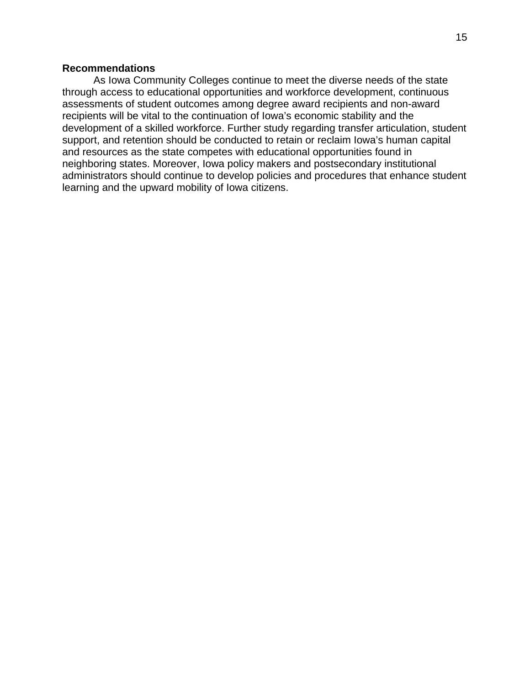#### **Recommendations**

 As Iowa Community Colleges continue to meet the diverse needs of the state through access to educational opportunities and workforce development, continuous assessments of student outcomes among degree award recipients and non-award recipients will be vital to the continuation of Iowa's economic stability and the development of a skilled workforce. Further study regarding transfer articulation, student support, and retention should be conducted to retain or reclaim Iowa's human capital and resources as the state competes with educational opportunities found in neighboring states. Moreover, Iowa policy makers and postsecondary institutional administrators should continue to develop policies and procedures that enhance student learning and the upward mobility of Iowa citizens.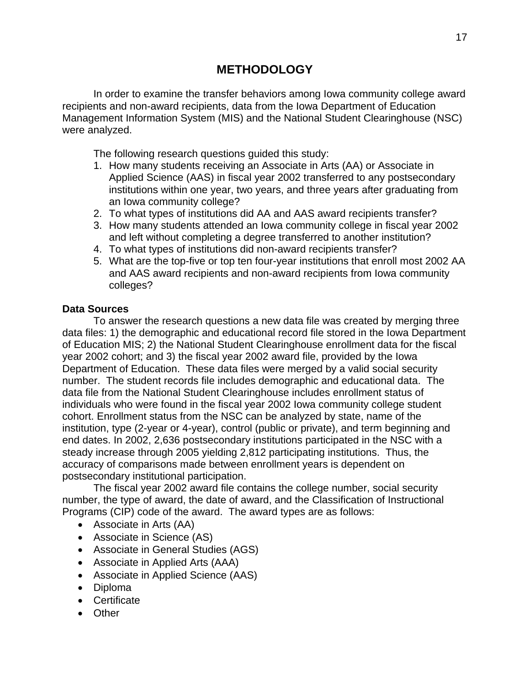## **METHODOLOGY**

In order to examine the transfer behaviors among Iowa community college award recipients and non-award recipients, data from the Iowa Department of Education Management Information System (MIS) and the National Student Clearinghouse (NSC) were analyzed.

The following research questions guided this study:

- 1. How many students receiving an Associate in Arts (AA) or Associate in Applied Science (AAS) in fiscal year 2002 transferred to any postsecondary institutions within one year, two years, and three years after graduating from an Iowa community college?
- 2. To what types of institutions did AA and AAS award recipients transfer?
- 3. How many students attended an Iowa community college in fiscal year 2002 and left without completing a degree transferred to another institution?
- 4. To what types of institutions did non-award recipients transfer?
- 5. What are the top-five or top ten four-year institutions that enroll most 2002 AA and AAS award recipients and non-award recipients from Iowa community colleges?

#### **Data Sources**

To answer the research questions a new data file was created by merging three data files: 1) the demographic and educational record file stored in the Iowa Department of Education MIS; 2) the National Student Clearinghouse enrollment data for the fiscal year 2002 cohort; and 3) the fiscal year 2002 award file, provided by the Iowa Department of Education. These data files were merged by a valid social security number. The student records file includes demographic and educational data. The data file from the National Student Clearinghouse includes enrollment status of individuals who were found in the fiscal year 2002 Iowa community college student cohort. Enrollment status from the NSC can be analyzed by state, name of the institution, type (2-year or 4-year), control (public or private), and term beginning and end dates. In 2002, 2,636 postsecondary institutions participated in the NSC with a steady increase through 2005 yielding 2,812 participating institutions. Thus, the accuracy of comparisons made between enrollment years is dependent on postsecondary institutional participation.

The fiscal year 2002 award file contains the college number, social security number, the type of award, the date of award, and the Classification of Instructional Programs (CIP) code of the award. The award types are as follows:

- Associate in Arts (AA)
- Associate in Science (AS)
- Associate in General Studies (AGS)
- Associate in Applied Arts (AAA)
- Associate in Applied Science (AAS)
- Diploma
- Certificate
- Other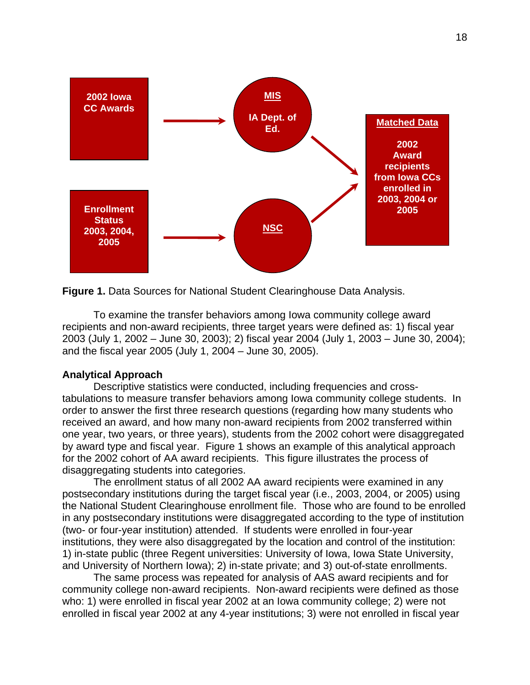

**Figure 1.** Data Sources for National Student Clearinghouse Data Analysis.

To examine the transfer behaviors among Iowa community college award recipients and non-award recipients, three target years were defined as: 1) fiscal year 2003 (July 1, 2002 – June 30, 2003); 2) fiscal year 2004 (July 1, 2003 – June 30, 2004); and the fiscal year 2005 (July 1, 2004 – June 30, 2005).

#### **Analytical Approach**

Descriptive statistics were conducted, including frequencies and crosstabulations to measure transfer behaviors among Iowa community college students. In order to answer the first three research questions (regarding how many students who received an award, and how many non-award recipients from 2002 transferred within one year, two years, or three years), students from the 2002 cohort were disaggregated by award type and fiscal year. Figure 1 shows an example of this analytical approach for the 2002 cohort of AA award recipients. This figure illustrates the process of disaggregating students into categories.

The enrollment status of all 2002 AA award recipients were examined in any postsecondary institutions during the target fiscal year (i.e., 2003, 2004, or 2005) using the National Student Clearinghouse enrollment file. Those who are found to be enrolled in any postsecondary institutions were disaggregated according to the type of institution (two- or four-year institution) attended. If students were enrolled in four-year institutions, they were also disaggregated by the location and control of the institution: 1) in-state public (three Regent universities: University of Iowa, Iowa State University, and University of Northern Iowa); 2) in-state private; and 3) out-of-state enrollments.

The same process was repeated for analysis of AAS award recipients and for community college non-award recipients. Non-award recipients were defined as those who: 1) were enrolled in fiscal year 2002 at an Iowa community college; 2) were not enrolled in fiscal year 2002 at any 4-year institutions; 3) were not enrolled in fiscal year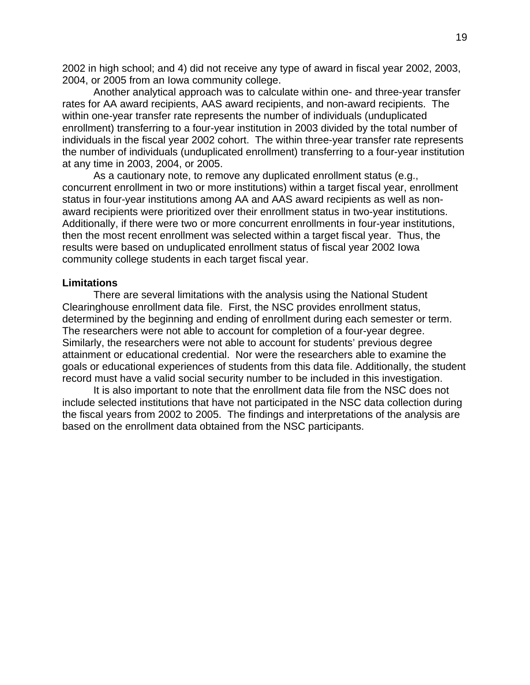2002 in high school; and 4) did not receive any type of award in fiscal year 2002, 2003, 2004, or 2005 from an Iowa community college.

 Another analytical approach was to calculate within one- and three-year transfer rates for AA award recipients, AAS award recipients, and non-award recipients. The within one-year transfer rate represents the number of individuals (unduplicated enrollment) transferring to a four-year institution in 2003 divided by the total number of individuals in the fiscal year 2002 cohort. The within three-year transfer rate represents the number of individuals (unduplicated enrollment) transferring to a four-year institution at any time in 2003, 2004, or 2005.

As a cautionary note, to remove any duplicated enrollment status (e.g., concurrent enrollment in two or more institutions) within a target fiscal year, enrollment status in four-year institutions among AA and AAS award recipients as well as nonaward recipients were prioritized over their enrollment status in two-year institutions. Additionally, if there were two or more concurrent enrollments in four-year institutions, then the most recent enrollment was selected within a target fiscal year. Thus, the results were based on unduplicated enrollment status of fiscal year 2002 Iowa community college students in each target fiscal year.

#### **Limitations**

There are several limitations with the analysis using the National Student Clearinghouse enrollment data file. First, the NSC provides enrollment status, determined by the beginning and ending of enrollment during each semester or term. The researchers were not able to account for completion of a four-year degree. Similarly, the researchers were not able to account for students' previous degree attainment or educational credential. Nor were the researchers able to examine the goals or educational experiences of students from this data file. Additionally, the student record must have a valid social security number to be included in this investigation.

It is also important to note that the enrollment data file from the NSC does not include selected institutions that have not participated in the NSC data collection during the fiscal years from 2002 to 2005. The findings and interpretations of the analysis are based on the enrollment data obtained from the NSC participants.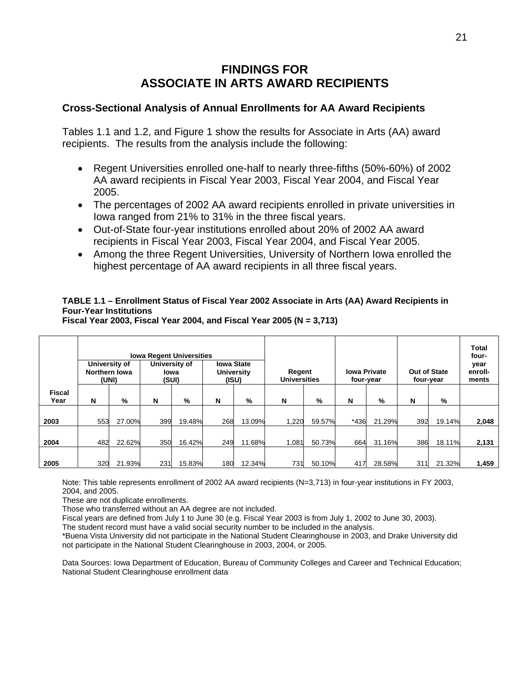## **FINDINGS FOR ASSOCIATE IN ARTS AWARD RECIPIENTS**

#### **Cross-Sectional Analysis of Annual Enrollments for AA Award Recipients**

Tables 1.1 and 1.2, and Figure 1 show the results for Associate in Arts (AA) award recipients. The results from the analysis include the following:

- Regent Universities enrolled one-half to nearly three-fifths (50%-60%) of 2002 AA award recipients in Fiscal Year 2003, Fiscal Year 2004, and Fiscal Year 2005.
- The percentages of 2002 AA award recipients enrolled in private universities in Iowa ranged from 21% to 31% in the three fiscal years.
- Out-of-State four-year institutions enrolled about 20% of 2002 AA award recipients in Fiscal Year 2003, Fiscal Year 2004, and Fiscal Year 2005.
- Among the three Regent Universities, University of Northern Iowa enrolled the highest percentage of AA award recipients in all three fiscal years.

#### **TABLE 1.1 – Enrollment Status of Fiscal Year 2002 Associate in Arts (AA) Award Recipients in Four-Year Institutions**

|                       | <b>Iowa Regent Universities</b><br>University of<br><b>Iowa State</b><br>University of<br>Northern Iowa<br><b>University</b><br>lowa<br>(SUI)<br>(ISU)<br>(UNI) |        |     |        | Regent<br><b>Universities</b> |        | <b>Iowa Private</b><br>four-year |        | Out of State<br>four-year |        | <b>Total</b><br>four-<br>year<br>enroll-<br>ments |        |       |
|-----------------------|-----------------------------------------------------------------------------------------------------------------------------------------------------------------|--------|-----|--------|-------------------------------|--------|----------------------------------|--------|---------------------------|--------|---------------------------------------------------|--------|-------|
| <b>Fiscal</b><br>Year | N                                                                                                                                                               | %      | N   | %      | N                             | %      | N                                | %      | N                         | $\%$   | N                                                 | %      |       |
| 2003                  | 553                                                                                                                                                             | 27.00% | 399 | 19.48% | 268                           | 13.09% | 1.220                            | 59.57% | *436                      | 21.29% | 392                                               | 19.14% | 2,048 |
| 2004                  | 482                                                                                                                                                             | 22.62% | 350 | 16.42% | 249                           | 11.68% | 1.081                            | 50.73% | 664                       | 31.16% | 386                                               | 18.11% | 2,131 |
| 2005                  | 320                                                                                                                                                             | 21.93% | 231 | 15.83% | 180                           | 12.34% | 731                              | 50.10% | 417                       | 28.58% | 311                                               | 21.32% | 1,459 |

**Fiscal Year 2003, Fiscal Year 2004, and Fiscal Year 2005 (N = 3,713)** 

Note: This table represents enrollment of 2002 AA award recipients (N=3,713) in four-year institutions in FY 2003, 2004, and 2005.

These are not duplicate enrollments.

Those who transferred without an AA degree are not included.

Fiscal years are defined from July 1 to June 30 (e.g. Fiscal Year 2003 is from July 1, 2002 to June 30, 2003).

The student record must have a valid social security number to be included in the analysis.

\*Buena Vista University did not participate in the National Student Clearinghouse in 2003, and Drake University did not participate in the National Student Clearinghouse in 2003, 2004, or 2005.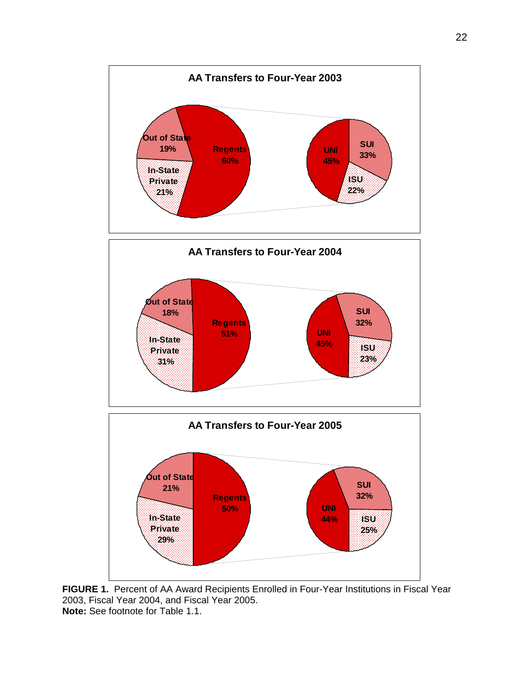

**FIGURE 1.** Percent of AA Award Recipients Enrolled in Four-Year Institutions in Fiscal Year 2003, Fiscal Year 2004, and Fiscal Year 2005. **Note:** See footnote for Table 1.1.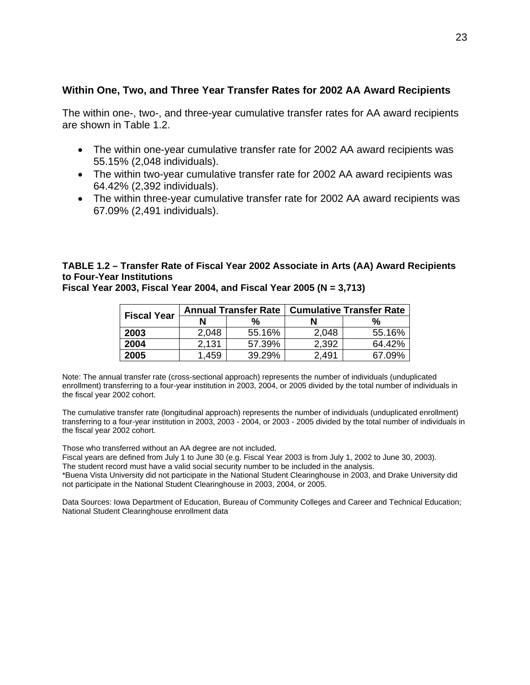#### **Within One, Two, and Three Year Transfer Rates for 2002 AA Award Recipients**

The within one-, two-, and three-year cumulative transfer rates for AA award recipients are shown in Table 1.2.

- The within one-year cumulative transfer rate for 2002 AA award recipients was 55.15% (2,048 individuals).
- The within two-year cumulative transfer rate for 2002 AA award recipients was 64.42% (2,392 individuals).
- The within three-year cumulative transfer rate for 2002 AA award recipients was 67.09% (2,491 individuals).

#### **TABLE 1.2 – Transfer Rate of Fiscal Year 2002 Associate in Arts (AA) Award Recipients to Four-Year Institutions**

**Fiscal Year 2003, Fiscal Year 2004, and Fiscal Year 2005 (N = 3,713)** 

| <b>Fiscal Year</b> |       | <b>Annual Transfer Rate</b> | <b>Cumulative Transfer Rate</b> |        |  |  |  |  |
|--------------------|-------|-----------------------------|---------------------------------|--------|--|--|--|--|
|                    | N     | %                           | N                               | %      |  |  |  |  |
| 2003               | 2,048 | 55.16%                      | 2,048                           | 55.16% |  |  |  |  |
| 2004               | 2,131 | 57.39%                      | 2,392                           | 64.42% |  |  |  |  |
| 2005               | .459  | 39.29%                      | 2.491                           | 67.09% |  |  |  |  |

Note: The annual transfer rate (cross-sectional approach) represents the number of individuals (unduplicated enrollment) transferring to a four-year institution in 2003, 2004, or 2005 divided by the total number of individuals in the fiscal year 2002 cohort.

The cumulative transfer rate (longitudinal approach) represents the number of individuals (unduplicated enrollment) transferring to a four-year institution in 2003, 2003 - 2004, or 2003 - 2005 divided by the total number of individuals in the fiscal year 2002 cohort.

Those who transferred without an AA degree are not included.

Fiscal years are defined from July 1 to June 30 (e.g. Fiscal Year 2003 is from July 1, 2002 to June 30, 2003). The student record must have a valid social security number to be included in the analysis.

\*Buena Vista University did not participate in the National Student Clearinghouse in 2003, and Drake University did not participate in the National Student Clearinghouse in 2003, 2004, or 2005.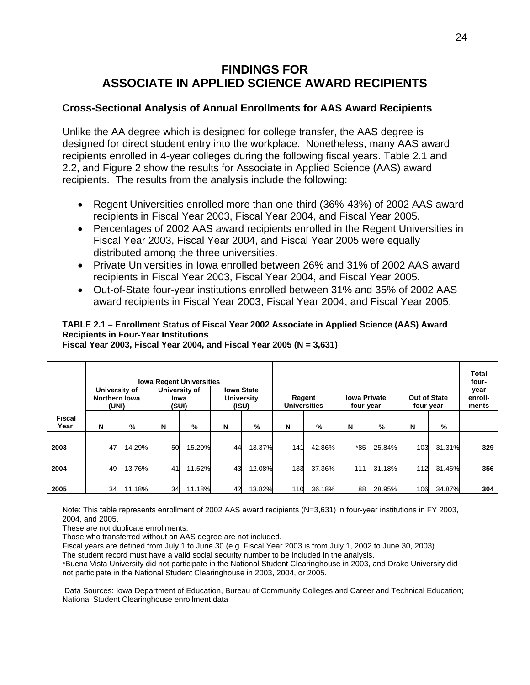## **FINDINGS FOR ASSOCIATE IN APPLIED SCIENCE AWARD RECIPIENTS**

#### **Cross-Sectional Analysis of Annual Enrollments for AAS Award Recipients**

Unlike the AA degree which is designed for college transfer, the AAS degree is designed for direct student entry into the workplace. Nonetheless, many AAS award recipients enrolled in 4-year colleges during the following fiscal years. Table 2.1 and 2.2, and Figure 2 show the results for Associate in Applied Science (AAS) award recipients. The results from the analysis include the following:

- Regent Universities enrolled more than one-third (36%-43%) of 2002 AAS award recipients in Fiscal Year 2003, Fiscal Year 2004, and Fiscal Year 2005.
- Percentages of 2002 AAS award recipients enrolled in the Regent Universities in Fiscal Year 2003, Fiscal Year 2004, and Fiscal Year 2005 were equally distributed among the three universities.
- Private Universities in Iowa enrolled between 26% and 31% of 2002 AAS award recipients in Fiscal Year 2003, Fiscal Year 2004, and Fiscal Year 2005.
- Out-of-State four-year institutions enrolled between 31% and 35% of 2002 AAS award recipients in Fiscal Year 2003, Fiscal Year 2004, and Fiscal Year 2005.

#### **TABLE 2.1 – Enrollment Status of Fiscal Year 2002 Associate in Applied Science (AAS) Award Recipients in Four-Year Institutions**

**Fiscal Year 2003, Fiscal Year 2004, and Fiscal Year 2005 (N = 3,631)** 

|                       | <b>Iowa Regent Universities</b><br><b>Iowa State</b><br>University of<br>University of<br>Northern Iowa<br><b>University</b><br>lowa<br>(UNI)<br>(SUI)<br>(ISU) |        |    |        |    |        |     | Regent<br><b>Universities</b> | <b>Iowa Private</b><br>four-year |        | Out of State<br>four-year |        | Total<br>four-<br>year<br>enroll-<br>ments |
|-----------------------|-----------------------------------------------------------------------------------------------------------------------------------------------------------------|--------|----|--------|----|--------|-----|-------------------------------|----------------------------------|--------|---------------------------|--------|--------------------------------------------|
| <b>Fiscal</b><br>Year | N                                                                                                                                                               | %      | N  | %      | N  | %      | N   | %                             | N                                | %      | N                         | %      |                                            |
| 2003                  | 47                                                                                                                                                              | 14.29% | 50 | 15.20% | 44 | 13.37% | 141 | 42.86%                        | $*85$                            | 25.84% | 103                       | 31.31% | 329                                        |
| 2004                  | 49                                                                                                                                                              | 13.76% | 41 | 11.52% | 43 | 12.08% | 133 | 37.36%                        | 111                              | 31.18% | 112                       | 31.46% | 356                                        |
| 2005                  | 34                                                                                                                                                              | 11.18% | 34 | 11.18% | 42 | 13.82% | 110 | 36.18%                        | 88                               | 28.95% | 106                       | 34.87% | 304                                        |

Note: This table represents enrollment of 2002 AAS award recipients (N=3,631) in four-year institutions in FY 2003, 2004, and 2005.

These are not duplicate enrollments.

Those who transferred without an AAS degree are not included.

Fiscal years are defined from July 1 to June 30 (e.g. Fiscal Year 2003 is from July 1, 2002 to June 30, 2003).

The student record must have a valid social security number to be included in the analysis.

\*Buena Vista University did not participate in the National Student Clearinghouse in 2003, and Drake University did not participate in the National Student Clearinghouse in 2003, 2004, or 2005.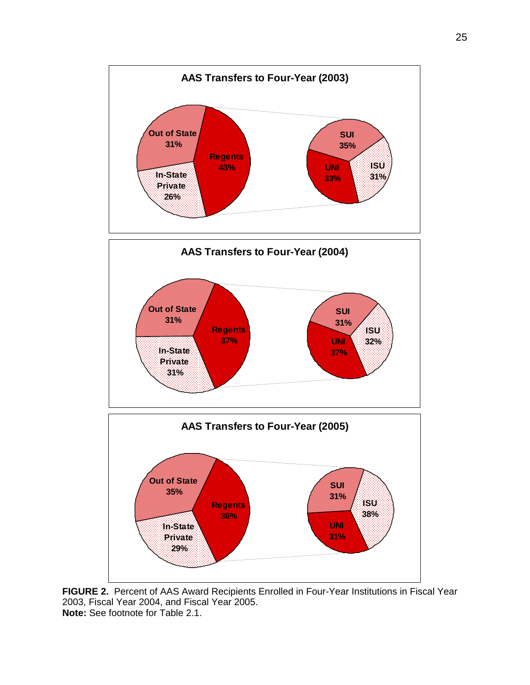

**FIGURE 2.** Percent of AAS Award Recipients Enrolled in Four-Year Institutions in Fiscal Year 2003, Fiscal Year 2004, and Fiscal Year 2005. **Note:** See footnote for Table 2.1.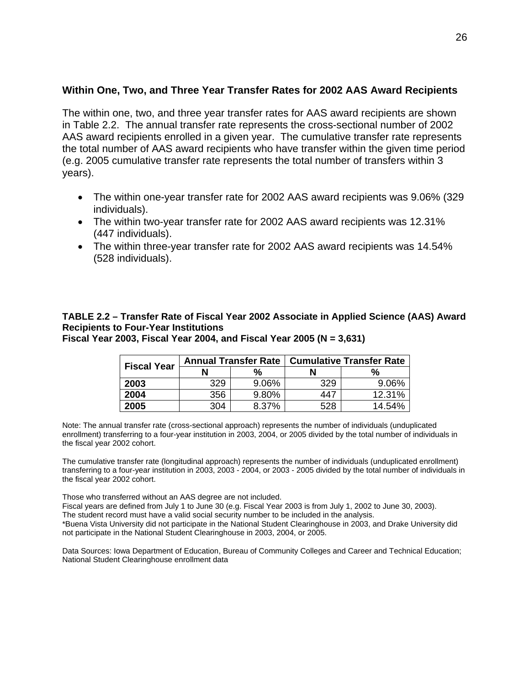#### **Within One, Two, and Three Year Transfer Rates for 2002 AAS Award Recipients**

The within one, two, and three year transfer rates for AAS award recipients are shown in Table 2.2. The annual transfer rate represents the cross-sectional number of 2002 AAS award recipients enrolled in a given year. The cumulative transfer rate represents the total number of AAS award recipients who have transfer within the given time period (e.g. 2005 cumulative transfer rate represents the total number of transfers within 3 years).

- The within one-year transfer rate for 2002 AAS award recipients was 9.06% (329 individuals).
- The within two-year transfer rate for 2002 AAS award recipients was 12.31% (447 individuals).
- The within three-year transfer rate for 2002 AAS award recipients was 14.54% (528 individuals).

## **TABLE 2.2 – Transfer Rate of Fiscal Year 2002 Associate in Applied Science (AAS) Award Recipients to Four-Year Institutions**

**Fiscal Year 2003, Fiscal Year 2004, and Fiscal Year 2005 (N = 3,631)** 

| <b>Fiscal Year</b> |     |       | Annual Transfer Rate   Cumulative Transfer Rate |        |  |  |  |  |
|--------------------|-----|-------|-------------------------------------------------|--------|--|--|--|--|
|                    | N   | %     |                                                 | %      |  |  |  |  |
| 2003               | 329 | 9.06% | 329                                             | 9.06%  |  |  |  |  |
| 2004               | 356 | 9.80% | 447                                             | 12.31% |  |  |  |  |
| 2005               | 304 | 8.37% | 528                                             | 14.54% |  |  |  |  |

Note: The annual transfer rate (cross-sectional approach) represents the number of individuals (unduplicated enrollment) transferring to a four-year institution in 2003, 2004, or 2005 divided by the total number of individuals in the fiscal year 2002 cohort.

The cumulative transfer rate (longitudinal approach) represents the number of individuals (unduplicated enrollment) transferring to a four-year institution in 2003, 2003 - 2004, or 2003 - 2005 divided by the total number of individuals in the fiscal year 2002 cohort.

Those who transferred without an AAS degree are not included.

Fiscal years are defined from July 1 to June 30 (e.g. Fiscal Year 2003 is from July 1, 2002 to June 30, 2003). The student record must have a valid social security number to be included in the analysis.

\*Buena Vista University did not participate in the National Student Clearinghouse in 2003, and Drake University did not participate in the National Student Clearinghouse in 2003, 2004, or 2005.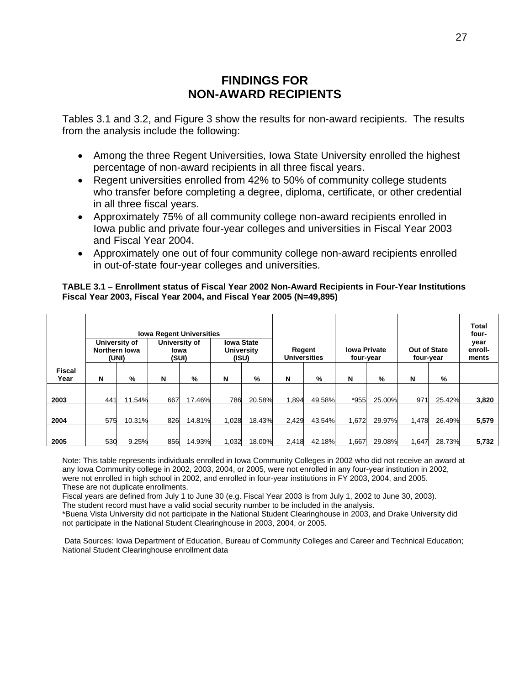## **FINDINGS FOR NON-AWARD RECIPIENTS**

Tables 3.1 and 3.2, and Figure 3 show the results for non-award recipients. The results from the analysis include the following:

- Among the three Regent Universities, Iowa State University enrolled the highest percentage of non-award recipients in all three fiscal years.
- Regent universities enrolled from 42% to 50% of community college students who transfer before completing a degree, diploma, certificate, or other credential in all three fiscal years.
- Approximately 75% of all community college non-award recipients enrolled in Iowa public and private four-year colleges and universities in Fiscal Year 2003 and Fiscal Year 2004.
- Approximately one out of four community college non-award recipients enrolled in out-of-state four-year colleges and universities.

#### **TABLE 3.1 – Enrollment status of Fiscal Year 2002 Non-Award Recipients in Four-Year Institutions Fiscal Year 2003, Fiscal Year 2004, and Fiscal Year 2005 (N=49,895)**

|                       | <b>Iowa Regent Universities</b><br>University of<br><b>Iowa State</b><br>University of<br>Northern Iowa<br><b>University</b><br>Iowa<br>(UNI)<br>(SUI)<br>(ISU) |        |     |        |       | Regent<br><b>Universities</b> |       | <b>Iowa Private</b><br>four-year |       | <b>Out of State</b><br>four-year |       | <b>Total</b><br>four-<br>year<br>enroll-<br>ments |       |
|-----------------------|-----------------------------------------------------------------------------------------------------------------------------------------------------------------|--------|-----|--------|-------|-------------------------------|-------|----------------------------------|-------|----------------------------------|-------|---------------------------------------------------|-------|
| <b>Fiscal</b><br>Year | N                                                                                                                                                               | %      | N   | %      | N     | %                             | N     | %                                | N     | %                                | N     | %                                                 |       |
| 2003                  | 441                                                                                                                                                             | 11.54% | 667 | 17.46% | 786   | 20.58%                        | 1,894 | 49.58%                           | *955  | 25.00%                           | 971   | 25.42%                                            | 3,820 |
| 2004                  | 575                                                                                                                                                             | 10.31% | 826 | 14.81% | 1,028 | 18.43%                        | 2,429 | 43.54%                           | 1,672 | 29.97%                           | 1.478 | 26.49%                                            | 5,579 |
| 2005                  | 530                                                                                                                                                             | 9.25%  | 856 | 14.93% | 1,032 | 18.00%                        | 2,418 | 42.18%                           | 1.667 | 29.08%                           | 1.647 | 28.73%                                            | 5,732 |

Note: This table represents individuals enrolled in Iowa Community Colleges in 2002 who did not receive an award at any Iowa Community college in 2002, 2003, 2004, or 2005, were not enrolled in any four-year institution in 2002, were not enrolled in high school in 2002, and enrolled in four-year institutions in FY 2003, 2004, and 2005. These are not duplicate enrollments.

Fiscal years are defined from July 1 to June 30 (e.g. Fiscal Year 2003 is from July 1, 2002 to June 30, 2003).

The student record must have a valid social security number to be included in the analysis.

\*Buena Vista University did not participate in the National Student Clearinghouse in 2003, and Drake University did not participate in the National Student Clearinghouse in 2003, 2004, or 2005.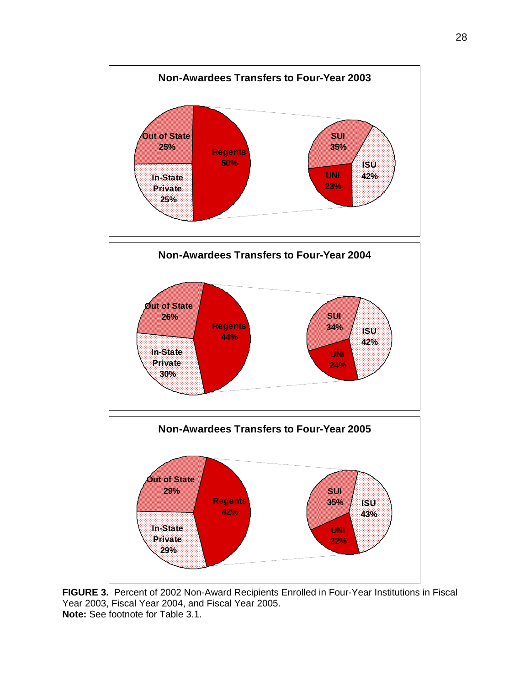

**FIGURE 3.** Percent of 2002 Non-Award Recipients Enrolled in Four-Year Institutions in Fiscal Year 2003, Fiscal Year 2004, and Fiscal Year 2005. **Note:** See footnote for Table 3.1.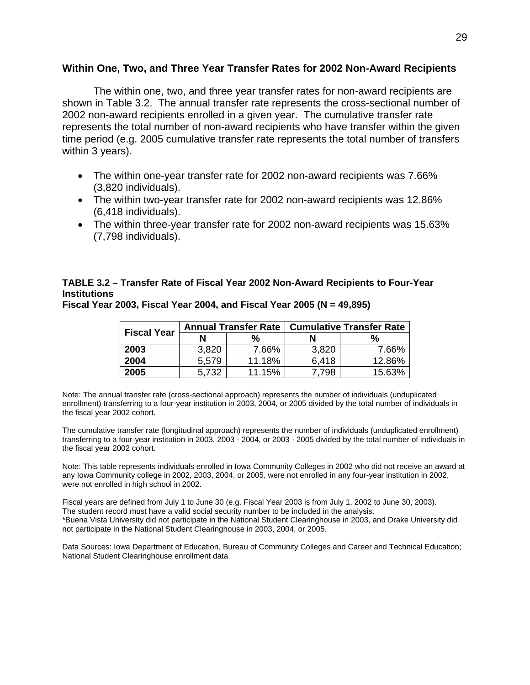#### **Within One, Two, and Three Year Transfer Rates for 2002 Non-Award Recipients**

The within one, two, and three year transfer rates for non-award recipients are shown in Table 3.2. The annual transfer rate represents the cross-sectional number of 2002 non-award recipients enrolled in a given year. The cumulative transfer rate represents the total number of non-award recipients who have transfer within the given time period (e.g. 2005 cumulative transfer rate represents the total number of transfers within 3 years).

- The within one-year transfer rate for 2002 non-award recipients was 7.66% (3,820 individuals).
- The within two-year transfer rate for 2002 non-award recipients was 12.86% (6,418 individuals).
- The within three-year transfer rate for 2002 non-award recipients was 15.63% (7,798 individuals).

### **TABLE 3.2 – Transfer Rate of Fiscal Year 2002 Non-Award Recipients to Four-Year Institutions**

| <b>Fiscal Year</b> | <b>Annual Transfer Rate</b> |        | <b>Cumulative Transfer Rate</b> |        |  |
|--------------------|-----------------------------|--------|---------------------------------|--------|--|
|                    |                             | $\%$   |                                 | %      |  |
| 2003               | 3,820                       | 7.66%  | 3,820                           | 7.66%  |  |
| 2004               | 5,579                       | 11.18% | 6,418                           | 12.86% |  |
| 2005               | 5,732                       | 11.15% | 7.798                           | 15.63% |  |

**Fiscal Year 2003, Fiscal Year 2004, and Fiscal Year 2005 (N = 49,895)** 

Note: The annual transfer rate (cross-sectional approach) represents the number of individuals (unduplicated enrollment) transferring to a four-year institution in 2003, 2004, or 2005 divided by the total number of individuals in the fiscal year 2002 cohort.

The cumulative transfer rate (longitudinal approach) represents the number of individuals (unduplicated enrollment) transferring to a four-year institution in 2003, 2003 - 2004, or 2003 - 2005 divided by the total number of individuals in the fiscal year 2002 cohort.

Note: This table represents individuals enrolled in Iowa Community Colleges in 2002 who did not receive an award at any Iowa Community college in 2002, 2003, 2004, or 2005, were not enrolled in any four-year institution in 2002, were not enrolled in high school in 2002.

Fiscal years are defined from July 1 to June 30 (e.g. Fiscal Year 2003 is from July 1, 2002 to June 30, 2003). The student record must have a valid social security number to be included in the analysis. \*Buena Vista University did not participate in the National Student Clearinghouse in 2003, and Drake University did not participate in the National Student Clearinghouse in 2003, 2004, or 2005.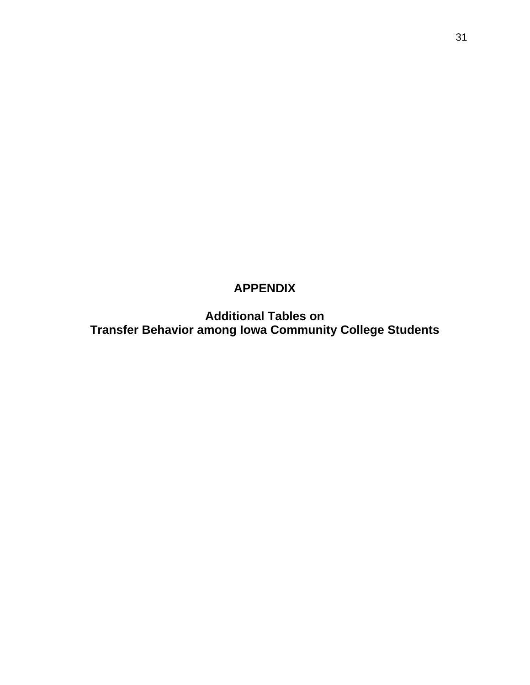# **APPENDIX**

**Additional Tables on Transfer Behavior among Iowa Community College Students**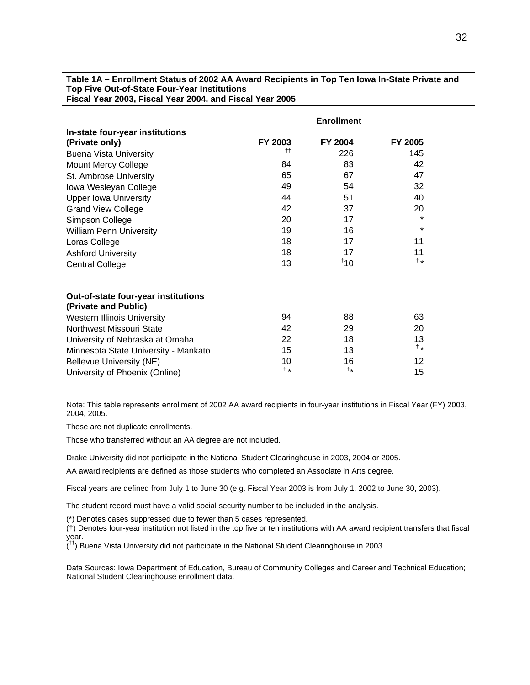#### **Table 1A – Enrollment Status of 2002 AA Award Recipients in Top Ten Iowa In-State Private and Top Five Out-of-State Four-Year Institutions Fiscal Year 2003, Fiscal Year 2004, and Fiscal Year 2005**

|                                                             | <b>Enrollment</b>   |                   |                |  |
|-------------------------------------------------------------|---------------------|-------------------|----------------|--|
| In-state four-year institutions                             |                     |                   |                |  |
| (Private only)                                              | FY 2003             | FY 2004           | FY 2005        |  |
| <b>Buena Vista University</b>                               | $^{\dagger\dagger}$ | 226               | 145            |  |
| <b>Mount Mercy College</b>                                  | 84                  | 83                | 42             |  |
| St. Ambrose University                                      | 65                  | 67                | 47             |  |
| Iowa Wesleyan College                                       | 49                  | 54                | 32             |  |
| <b>Upper Iowa University</b>                                | 44                  | 51                | 40             |  |
| <b>Grand View College</b>                                   | 42                  | 37                | 20             |  |
| Simpson College                                             | 20                  | 17                | $\star$        |  |
| <b>William Penn University</b>                              | 19                  | 16                | $\star$        |  |
| Loras College                                               | 18                  | 17                | 11             |  |
| <b>Ashford University</b>                                   | 18                  | 17                | 11             |  |
| <b>Central College</b>                                      | 13                  | 110               | $\dagger\star$ |  |
| Out-of-state four-year institutions<br>(Private and Public) |                     |                   |                |  |
| <b>Western Illinois University</b>                          | 94                  | 88                | 63             |  |
| Northwest Missouri State                                    | 42                  | 29                | 20             |  |
| University of Nebraska at Omaha                             | 22                  | 18                | 13             |  |
| Minnesota State University - Mankato                        | 15                  | 13                | $\dagger$ $*$  |  |
| Bellevue University (NE)                                    | 10                  | 16                | 12             |  |
| University of Phoenix (Online)                              | $\dagger$ *         | $^{\dagger\star}$ | 15             |  |

Note: This table represents enrollment of 2002 AA award recipients in four-year institutions in Fiscal Year (FY) 2003, 2004, 2005.

These are not duplicate enrollments.

Those who transferred without an AA degree are not included.

Drake University did not participate in the National Student Clearinghouse in 2003, 2004 or 2005.

AA award recipients are defined as those students who completed an Associate in Arts degree.

Fiscal years are defined from July 1 to June 30 (e.g. Fiscal Year 2003 is from July 1, 2002 to June 30, 2003).

The student record must have a valid social security number to be included in the analysis.

(\*) Denotes cases suppressed due to fewer than 5 cases represented.

(†) Denotes four-year institution not listed in the top five or ten institutions with AA award recipient transfers that fiscal year.

 $($ <sup>tt</sup>) Buena Vista University did not participate in the National Student Clearinghouse in 2003.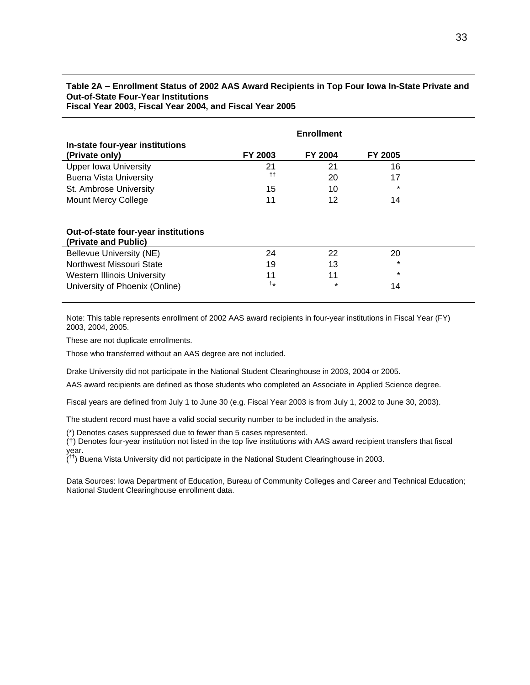#### **Table 2A – Enrollment Status of 2002 AAS Award Recipients in Top Four Iowa In-State Private and Out-of-State Four-Year Institutions**

**Fiscal Year 2003, Fiscal Year 2004, and Fiscal Year 2005**

|                                                             | <b>Enrollment</b>   |         |         |  |
|-------------------------------------------------------------|---------------------|---------|---------|--|
| In-state four-year institutions<br>(Private only)           | FY 2003             | FY 2004 | FY 2005 |  |
| <b>Upper Iowa University</b>                                | 21                  | 21      | 16      |  |
| <b>Buena Vista University</b>                               | $^{\dagger\dagger}$ | 20      | 17      |  |
| St. Ambrose University                                      | 15                  | 10      | $\star$ |  |
| Mount Mercy College                                         | 11                  | 12      | 14      |  |
|                                                             |                     |         |         |  |
| Out-of-state four-year institutions<br>(Private and Public) |                     |         |         |  |
| Bellevue University (NE)                                    | 24                  | 22      | 20      |  |
| Northwest Missouri State                                    | 19                  | 13      | $\star$ |  |
| Western Illinois University                                 | 11                  | 11      | $\star$ |  |
| University of Phoenix (Online)                              | t*                  | $\star$ | 14      |  |

Note: This table represents enrollment of 2002 AAS award recipients in four-year institutions in Fiscal Year (FY) 2003, 2004, 2005.

These are not duplicate enrollments.

Those who transferred without an AAS degree are not included.

Drake University did not participate in the National Student Clearinghouse in 2003, 2004 or 2005.

AAS award recipients are defined as those students who completed an Associate in Applied Science degree.

Fiscal years are defined from July 1 to June 30 (e.g. Fiscal Year 2003 is from July 1, 2002 to June 30, 2003).

The student record must have a valid social security number to be included in the analysis.

(\*) Denotes cases suppressed due to fewer than 5 cases represented.

(†) Denotes four-year institution not listed in the top five institutions with AAS award recipient transfers that fiscal year.

 $($ <sup>tt</sup>) Buena Vista University did not participate in the National Student Clearinghouse in 2003.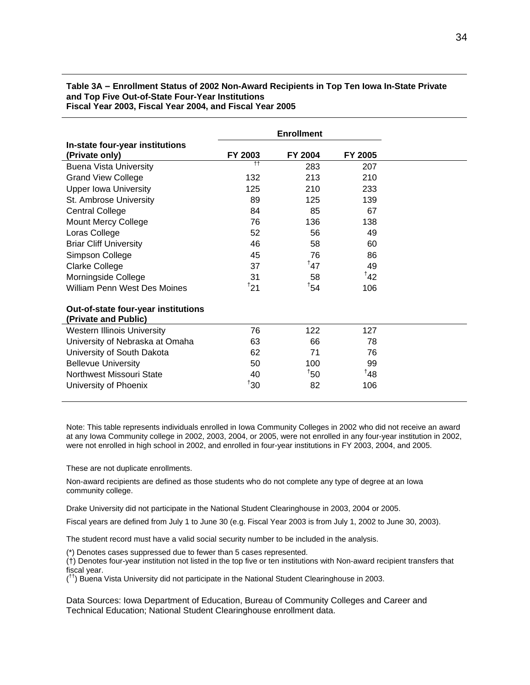#### **Table 3A – Enrollment Status of 2002 Non-Award Recipients in Top Ten Iowa In-State Private and Top Five Out-of-State Four-Year Institutions Fiscal Year 2003, Fiscal Year 2004, and Fiscal Year 2005**

|                                                             | <b>Enrollment</b> |                 |                 |  |
|-------------------------------------------------------------|-------------------|-----------------|-----------------|--|
| In-state four-year institutions<br>(Private only)           | FY 2003           | FY 2004         | FY 2005         |  |
| <b>Buena Vista University</b>                               | $+$               | 283             | 207             |  |
| <b>Grand View College</b>                                   | 132               | 213             | 210             |  |
| <b>Upper Iowa University</b>                                | 125               | 210             | 233             |  |
| St. Ambrose University                                      | 89                | 125             | 139             |  |
| <b>Central College</b>                                      | 84                | 85              | 67              |  |
| Mount Mercy College                                         | 76                | 136             | 138             |  |
| Loras College                                               | 52                | 56              | 49              |  |
| <b>Briar Cliff University</b>                               | 46                | 58              | 60              |  |
| Simpson College                                             | 45                | 76              | 86              |  |
| <b>Clarke College</b>                                       | 37                | 147             | 49              |  |
| Morningside College                                         | 31                | 58              | 142             |  |
| William Penn West Des Moines                                | 121               | $^{\dagger}$ 54 | 106             |  |
| Out-of-state four-year institutions<br>(Private and Public) |                   |                 |                 |  |
| <b>Western Illinois University</b>                          | 76                | 122             | 127             |  |
| University of Nebraska at Omaha                             | 63                | 66              | 78              |  |
| University of South Dakota                                  | 62                | 71              | 76              |  |
| <b>Bellevue University</b>                                  | 50                | 100             | 99              |  |
| Northwest Missouri State                                    | 40                | 150             | <sup>†</sup> 48 |  |
| University of Phoenix                                       | $30^\circ$        | 82              | 106             |  |

Note: This table represents individuals enrolled in Iowa Community Colleges in 2002 who did not receive an award at any Iowa Community college in 2002, 2003, 2004, or 2005, were not enrolled in any four-year institution in 2002, were not enrolled in high school in 2002, and enrolled in four-year institutions in FY 2003, 2004, and 2005.

These are not duplicate enrollments.

Non-award recipients are defined as those students who do not complete any type of degree at an Iowa community college.

Drake University did not participate in the National Student Clearinghouse in 2003, 2004 or 2005.

Fiscal years are defined from July 1 to June 30 (e.g. Fiscal Year 2003 is from July 1, 2002 to June 30, 2003).

The student record must have a valid social security number to be included in the analysis.

(\*) Denotes cases suppressed due to fewer than 5 cases represented.

(†) Denotes four-year institution not listed in the top five or ten institutions with Non-award recipient transfers that fiscal year.

(<sup>††</sup>) Buena Vista University did not participate in the National Student Clearinghouse in 2003.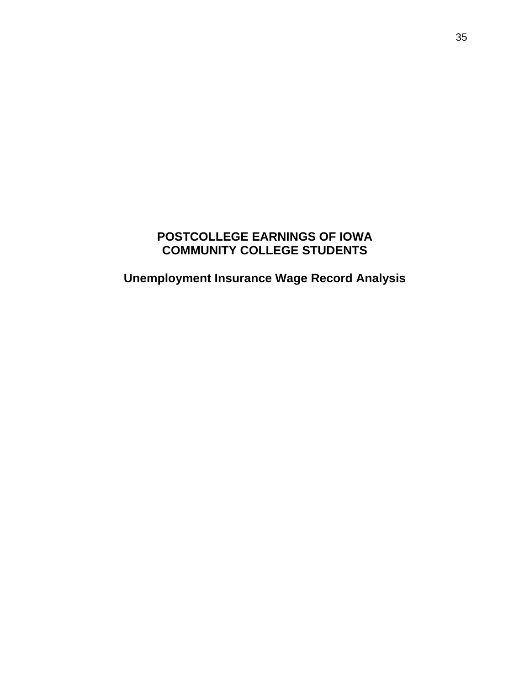## **POSTCOLLEGE EARNINGS OF IOWA COMMUNITY COLLEGE STUDENTS**

**Unemployment Insurance Wage Record Analysis**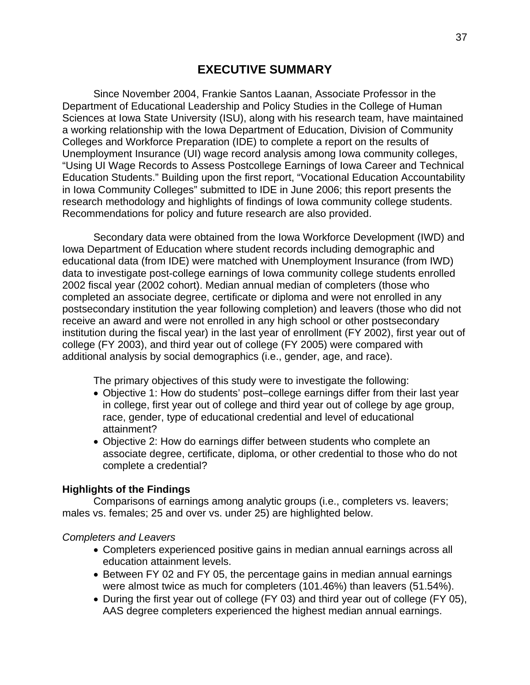Since November 2004, Frankie Santos Laanan, Associate Professor in the Department of Educational Leadership and Policy Studies in the College of Human Sciences at Iowa State University (ISU), along with his research team, have maintained a working relationship with the Iowa Department of Education, Division of Community Colleges and Workforce Preparation (IDE) to complete a report on the results of Unemployment Insurance (UI) wage record analysis among Iowa community colleges, "Using UI Wage Records to Assess Postcollege Earnings of Iowa Career and Technical Education Students." Building upon the first report, "Vocational Education Accountability in Iowa Community Colleges" submitted to IDE in June 2006; this report presents the research methodology and highlights of findings of Iowa community college students. Recommendations for policy and future research are also provided.

Secondary data were obtained from the Iowa Workforce Development (IWD) and Iowa Department of Education where student records including demographic and educational data (from IDE) were matched with Unemployment Insurance (from IWD) data to investigate post-college earnings of Iowa community college students enrolled 2002 fiscal year (2002 cohort). Median annual median of completers (those who completed an associate degree, certificate or diploma and were not enrolled in any postsecondary institution the year following completion) and leavers (those who did not receive an award and were not enrolled in any high school or other postsecondary institution during the fiscal year) in the last year of enrollment (FY 2002), first year out of college (FY 2003), and third year out of college (FY 2005) were compared with additional analysis by social demographics (i.e., gender, age, and race).

The primary objectives of this study were to investigate the following:

- Objective 1: How do students' post–college earnings differ from their last year in college, first year out of college and third year out of college by age group, race, gender, type of educational credential and level of educational attainment?
- Objective 2: How do earnings differ between students who complete an associate degree, certificate, diploma, or other credential to those who do not complete a credential?

## **Highlights of the Findings**

 Comparisons of earnings among analytic groups (i.e., completers vs. leavers; males vs. females; 25 and over vs. under 25) are highlighted below.

## *Completers and Leavers*

- Completers experienced positive gains in median annual earnings across all education attainment levels.
- Between FY 02 and FY 05, the percentage gains in median annual earnings were almost twice as much for completers (101.46%) than leavers (51.54%).
- During the first year out of college (FY 03) and third year out of college (FY 05), AAS degree completers experienced the highest median annual earnings.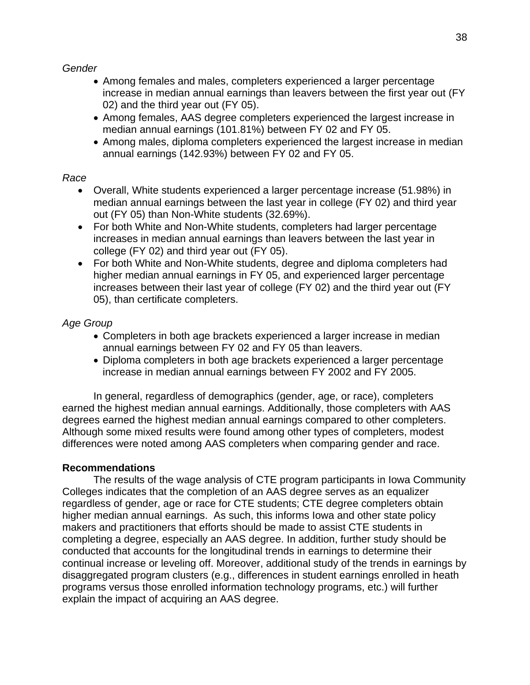*Gender* 

- Among females and males, completers experienced a larger percentage increase in median annual earnings than leavers between the first year out (FY 02) and the third year out (FY 05).
- Among females, AAS degree completers experienced the largest increase in median annual earnings (101.81%) between FY 02 and FY 05.
- Among males, diploma completers experienced the largest increase in median annual earnings (142.93%) between FY 02 and FY 05.

## *Race*

- Overall, White students experienced a larger percentage increase (51.98%) in median annual earnings between the last year in college (FY 02) and third year out (FY 05) than Non-White students (32.69%).
- For both White and Non-White students, completers had larger percentage increases in median annual earnings than leavers between the last year in college (FY 02) and third year out (FY 05).
- For both White and Non-White students, degree and diploma completers had higher median annual earnings in FY 05, and experienced larger percentage increases between their last year of college (FY 02) and the third year out (FY 05), than certificate completers.

# *Age Group*

- Completers in both age brackets experienced a larger increase in median annual earnings between FY 02 and FY 05 than leavers.
- Diploma completers in both age brackets experienced a larger percentage increase in median annual earnings between FY 2002 and FY 2005.

In general, regardless of demographics (gender, age, or race), completers earned the highest median annual earnings. Additionally, those completers with AAS degrees earned the highest median annual earnings compared to other completers. Although some mixed results were found among other types of completers, modest differences were noted among AAS completers when comparing gender and race.

# **Recommendations**

The results of the wage analysis of CTE program participants in Iowa Community Colleges indicates that the completion of an AAS degree serves as an equalizer regardless of gender, age or race for CTE students; CTE degree completers obtain higher median annual earnings. As such, this informs Iowa and other state policy makers and practitioners that efforts should be made to assist CTE students in completing a degree, especially an AAS degree. In addition, further study should be conducted that accounts for the longitudinal trends in earnings to determine their continual increase or leveling off. Moreover, additional study of the trends in earnings by disaggregated program clusters (e.g., differences in student earnings enrolled in heath programs versus those enrolled information technology programs, etc.) will further explain the impact of acquiring an AAS degree.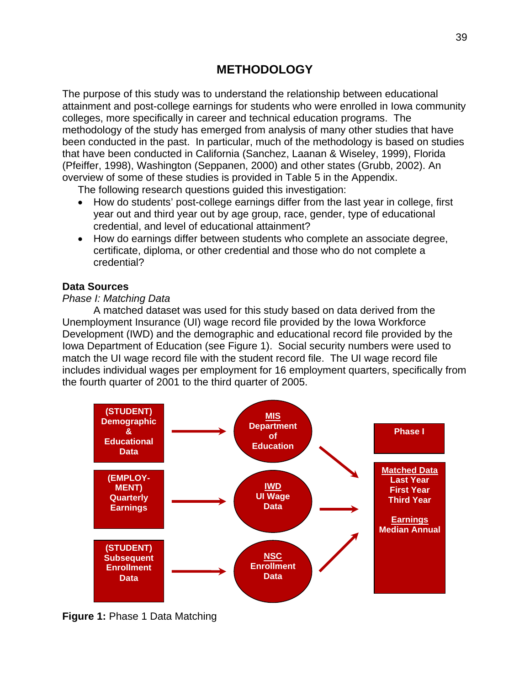# **METHODOLOGY**

The purpose of this study was to understand the relationship between educational attainment and post-college earnings for students who were enrolled in Iowa community colleges, more specifically in career and technical education programs. The methodology of the study has emerged from analysis of many other studies that have been conducted in the past. In particular, much of the methodology is based on studies that have been conducted in California (Sanchez, Laanan & Wiseley, 1999), Florida (Pfeiffer, 1998), Washington (Seppanen, 2000) and other states (Grubb, 2002). An overview of some of these studies is provided in Table 5 in the Appendix.

The following research questions guided this investigation:

- How do students' post-college earnings differ from the last year in college, first year out and third year out by age group, race, gender, type of educational credential, and level of educational attainment?
- How do earnings differ between students who complete an associate degree, certificate, diploma, or other credential and those who do not complete a credential?

## **Data Sources**

## *Phase I: Matching Data*

A matched dataset was used for this study based on data derived from the Unemployment Insurance (UI) wage record file provided by the Iowa Workforce Development (IWD) and the demographic and educational record file provided by the Iowa Department of Education (see Figure 1). Social security numbers were used to match the UI wage record file with the student record file. The UI wage record file includes individual wages per employment for 16 employment quarters, specifically from the fourth quarter of 2001 to the third quarter of 2005.



**Figure 1:** Phase 1 Data Matching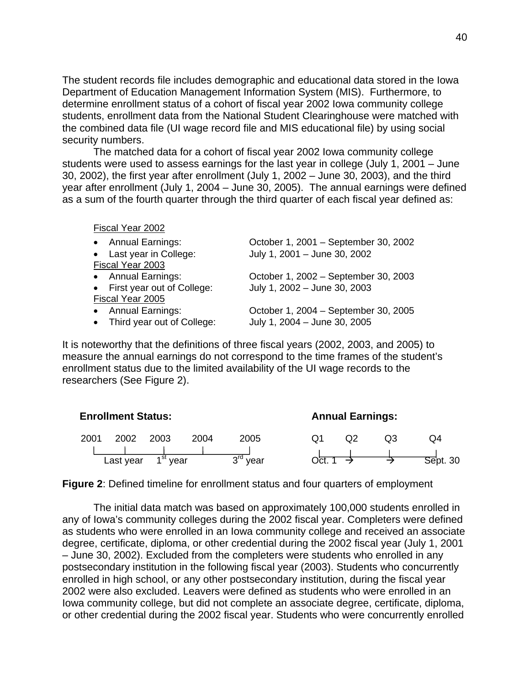The student records file includes demographic and educational data stored in the Iowa Department of Education Management Information System (MIS). Furthermore, to determine enrollment status of a cohort of fiscal year 2002 Iowa community college students, enrollment data from the National Student Clearinghouse were matched with the combined data file (UI wage record file and MIS educational file) by using social security numbers.

The matched data for a cohort of fiscal year 2002 Iowa community college students were used to assess earnings for the last year in college (July 1, 2001 – June 30, 2002), the first year after enrollment (July 1, 2002 – June 30, 2003), and the third year after enrollment (July 1, 2004 – June 30, 2005). The annual earnings were defined as a sum of the fourth quarter through the third quarter of each fiscal year defined as:

Fiscal Year 2002

| • Annual Earnings:           | October 1, 2001 - September 30, 2002 |
|------------------------------|--------------------------------------|
| • Last year in College:      | July 1, 2001 - June 30, 2002         |
| Fiscal Year 2003             |                                      |
| • Annual Earnings:           | October 1, 2002 - September 30, 2003 |
| • First year out of College: | July 1, 2002 - June 30, 2003         |
| Fiscal Year 2005             |                                      |
| • Annual Earnings:           | October 1, 2004 - September 30, 2005 |
| • Third year out of College: | July 1, 2004 - June 30, 2005         |

It is noteworthy that the definitions of three fiscal years (2002, 2003, and 2005) to measure the annual earnings do not correspond to the time frames of the student's enrollment status due to the limited availability of the UI wage records to the researchers (See Figure 2).

|      | <b>Enrollment Status:</b> |                      |      |            | <b>Annual Earnings:</b> |  |    |          |  |
|------|---------------------------|----------------------|------|------------|-------------------------|--|----|----------|--|
| 2001 | 2002                      | 2003                 | 2004 | 2005       |                         |  | OЗ | O4       |  |
|      | Last year                 | 1 <sup>st</sup> year |      | $3rd$ vear | Oct                     |  |    | Sept. 30 |  |

**Figure 2**: Defined timeline for enrollment status and four quarters of employment

The initial data match was based on approximately 100,000 students enrolled in any of Iowa's community colleges during the 2002 fiscal year. Completers were defined as students who were enrolled in an Iowa community college and received an associate degree, certificate, diploma, or other credential during the 2002 fiscal year (July 1, 2001 – June 30, 2002). Excluded from the completers were students who enrolled in any postsecondary institution in the following fiscal year (2003). Students who concurrently enrolled in high school, or any other postsecondary institution, during the fiscal year 2002 were also excluded. Leavers were defined as students who were enrolled in an Iowa community college, but did not complete an associate degree, certificate, diploma, or other credential during the 2002 fiscal year. Students who were concurrently enrolled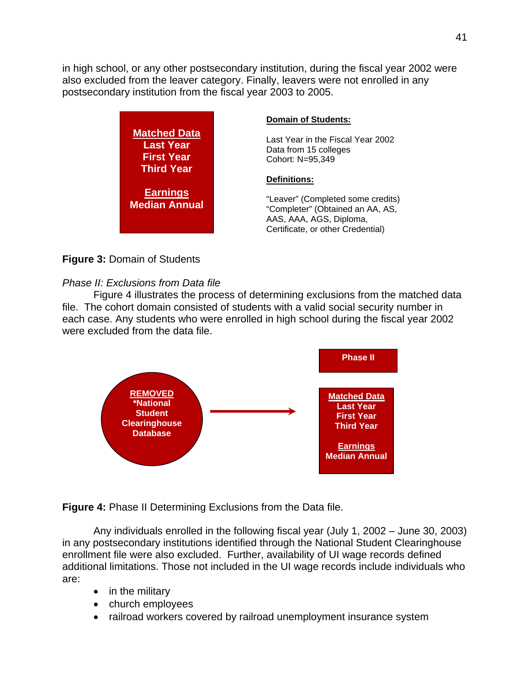in high school, or any other postsecondary institution, during the fiscal year 2002 were also excluded from the leaver category. Finally, leavers were not enrolled in any postsecondary institution from the fiscal year 2003 to 2005.

|                                                                                   | <b>Domain of Students:</b>                                                                                                            |
|-----------------------------------------------------------------------------------|---------------------------------------------------------------------------------------------------------------------------------------|
| <b>Matched Data</b><br><b>Last Year</b><br><b>First Year</b><br><b>Third Year</b> | Last Year in the Fiscal Year 2002<br>Data from 15 colleges<br>Cohort: N=95,349                                                        |
|                                                                                   | <b>Definitions:</b>                                                                                                                   |
| <b>Earnings</b><br><b>Median Annual</b>                                           | "Leaver" (Completed some credits)<br>"Completer" (Obtained an AA, AS,<br>AAS, AAA, AGS, Diploma,<br>Certificate, or other Credential) |

## **Figure 3:** Domain of Students

## *Phase II: Exclusions from Data file*

Figure 4 illustrates the process of determining exclusions from the matched data file. The cohort domain consisted of students with a valid social security number in each case. Any students who were enrolled in high school during the fiscal year 2002 were excluded from the data file.



**Figure 4:** Phase II Determining Exclusions from the Data file.

Any individuals enrolled in the following fiscal year (July 1, 2002 – June 30, 2003) in any postsecondary institutions identified through the National Student Clearinghouse enrollment file were also excluded. Further, availability of UI wage records defined additional limitations. Those not included in the UI wage records include individuals who are:

- in the military
- church employees
- railroad workers covered by railroad unemployment insurance system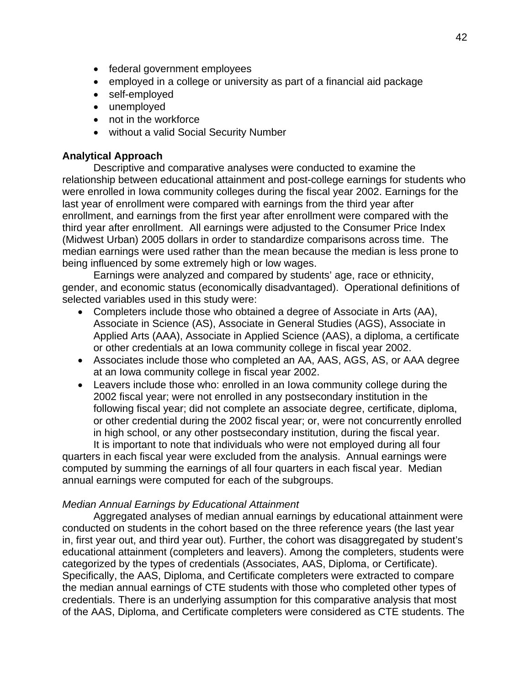- federal government employees
- employed in a college or university as part of a financial aid package
- self-employed
- unemployed
- not in the workforce
- without a valid Social Security Number

## **Analytical Approach**

Descriptive and comparative analyses were conducted to examine the relationship between educational attainment and post-college earnings for students who were enrolled in Iowa community colleges during the fiscal year 2002. Earnings for the last year of enrollment were compared with earnings from the third year after enrollment, and earnings from the first year after enrollment were compared with the third year after enrollment. All earnings were adjusted to the Consumer Price Index (Midwest Urban) 2005 dollars in order to standardize comparisons across time. The median earnings were used rather than the mean because the median is less prone to being influenced by some extremely high or low wages.

Earnings were analyzed and compared by students' age, race or ethnicity, gender, and economic status (economically disadvantaged). Operational definitions of selected variables used in this study were:

- Completers include those who obtained a degree of Associate in Arts (AA), Associate in Science (AS), Associate in General Studies (AGS), Associate in Applied Arts (AAA), Associate in Applied Science (AAS), a diploma, a certificate or other credentials at an Iowa community college in fiscal year 2002.
- Associates include those who completed an AA, AAS, AGS, AS, or AAA degree at an Iowa community college in fiscal year 2002.
- Leavers include those who: enrolled in an Iowa community college during the 2002 fiscal year; were not enrolled in any postsecondary institution in the following fiscal year; did not complete an associate degree, certificate, diploma, or other credential during the 2002 fiscal year; or, were not concurrently enrolled in high school, or any other postsecondary institution, during the fiscal year.

It is important to note that individuals who were not employed during all four quarters in each fiscal year were excluded from the analysis. Annual earnings were computed by summing the earnings of all four quarters in each fiscal year. Median annual earnings were computed for each of the subgroups.

## *Median Annual Earnings by Educational Attainment*

Aggregated analyses of median annual earnings by educational attainment were conducted on students in the cohort based on the three reference years (the last year in, first year out, and third year out). Further, the cohort was disaggregated by student's educational attainment (completers and leavers). Among the completers, students were categorized by the types of credentials (Associates, AAS, Diploma, or Certificate). Specifically, the AAS, Diploma, and Certificate completers were extracted to compare the median annual earnings of CTE students with those who completed other types of credentials. There is an underlying assumption for this comparative analysis that most of the AAS, Diploma, and Certificate completers were considered as CTE students. The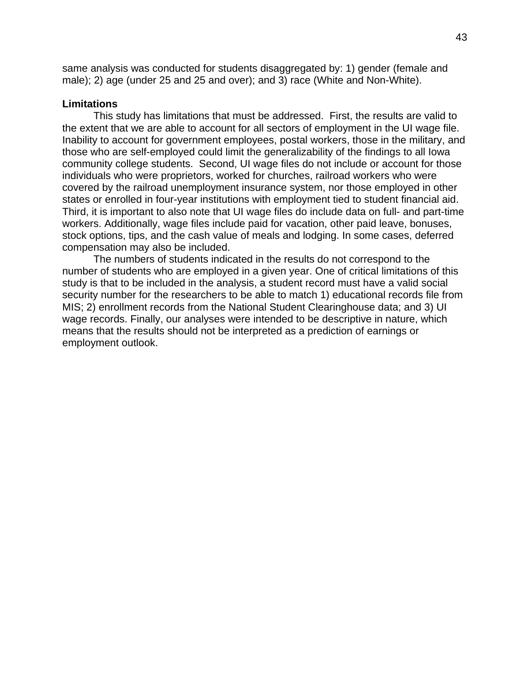same analysis was conducted for students disaggregated by: 1) gender (female and male); 2) age (under 25 and 25 and over); and 3) race (White and Non-White).

## **Limitations**

This study has limitations that must be addressed. First, the results are valid to the extent that we are able to account for all sectors of employment in the UI wage file. Inability to account for government employees, postal workers, those in the military, and those who are self-employed could limit the generalizability of the findings to all Iowa community college students. Second, UI wage files do not include or account for those individuals who were proprietors, worked for churches, railroad workers who were covered by the railroad unemployment insurance system, nor those employed in other states or enrolled in four-year institutions with employment tied to student financial aid. Third, it is important to also note that UI wage files do include data on full- and part-time workers. Additionally, wage files include paid for vacation, other paid leave, bonuses, stock options, tips, and the cash value of meals and lodging. In some cases, deferred compensation may also be included.

The numbers of students indicated in the results do not correspond to the number of students who are employed in a given year. One of critical limitations of this study is that to be included in the analysis, a student record must have a valid social security number for the researchers to be able to match 1) educational records file from MIS; 2) enrollment records from the National Student Clearinghouse data; and 3) UI wage records. Finally, our analyses were intended to be descriptive in nature, which means that the results should not be interpreted as a prediction of earnings or employment outlook.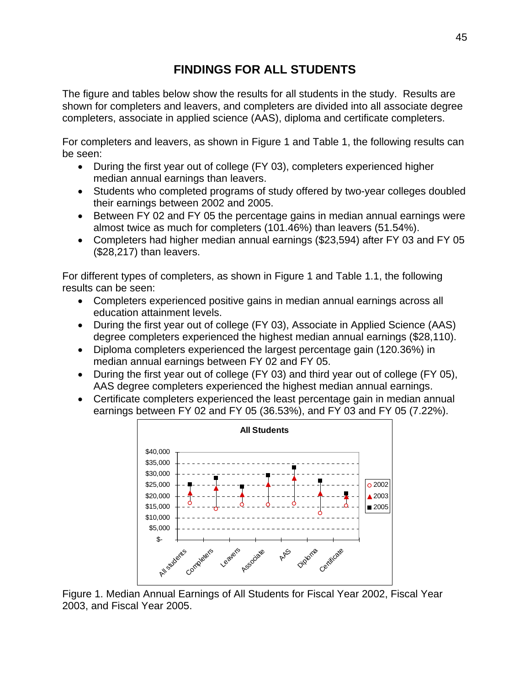# **FINDINGS FOR ALL STUDENTS**

The figure and tables below show the results for all students in the study. Results are shown for completers and leavers, and completers are divided into all associate degree completers, associate in applied science (AAS), diploma and certificate completers.

For completers and leavers, as shown in Figure 1 and Table 1, the following results can be seen:

- During the first year out of college (FY 03), completers experienced higher median annual earnings than leavers.
- Students who completed programs of study offered by two-year colleges doubled their earnings between 2002 and 2005.
- Between FY 02 and FY 05 the percentage gains in median annual earnings were almost twice as much for completers (101.46%) than leavers (51.54%).
- Completers had higher median annual earnings (\$23,594) after FY 03 and FY 05 (\$28,217) than leavers.

For different types of completers, as shown in Figure 1 and Table 1.1, the following results can be seen:

- Completers experienced positive gains in median annual earnings across all education attainment levels.
- During the first year out of college (FY 03), Associate in Applied Science (AAS) degree completers experienced the highest median annual earnings (\$28,110).
- Diploma completers experienced the largest percentage gain (120.36%) in median annual earnings between FY 02 and FY 05.
- During the first year out of college (FY 03) and third year out of college (FY 05), AAS degree completers experienced the highest median annual earnings.
- Certificate completers experienced the least percentage gain in median annual earnings between FY 02 and FY 05 (36.53%), and FY 03 and FY 05 (7.22%).



Figure 1. Median Annual Earnings of All Students for Fiscal Year 2002, Fiscal Year 2003, and Fiscal Year 2005.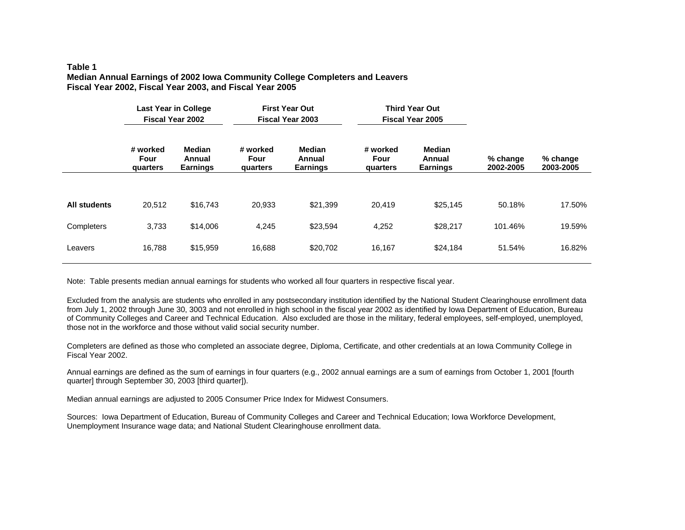#### **Table 1 Median Annual Earnings of 2002 Iowa Community College Completers and Leavers Fiscal Year 2002, Fiscal Year 2003, and Fiscal Year 2005**

|              | <b>Last Year in College</b><br><b>Fiscal Year 2002</b> |                                                                            | <b>First Year Out</b><br><b>Fiscal Year 2003</b> |                                            |                              | <b>Third Year Out</b><br><b>Fiscal Year 2005</b> |                       |                       |
|--------------|--------------------------------------------------------|----------------------------------------------------------------------------|--------------------------------------------------|--------------------------------------------|------------------------------|--------------------------------------------------|-----------------------|-----------------------|
|              | # worked<br>Four<br>quarters                           | <b>Median</b><br># worked<br>Four<br>Annual<br><b>Earnings</b><br>quarters |                                                  | <b>Median</b><br>Annual<br><b>Earnings</b> | # worked<br>Four<br>quarters | Median<br>Annual<br><b>Earnings</b>              | % change<br>2002-2005 | % change<br>2003-2005 |
|              |                                                        |                                                                            |                                                  |                                            |                              |                                                  |                       |                       |
| All students | 20,512                                                 | \$16,743                                                                   | 20,933                                           | \$21,399                                   | 20,419                       | \$25,145                                         | 50.18%                | 17.50%                |
| Completers   | 3,733<br>\$14,006                                      |                                                                            | 4,245                                            | \$23,594                                   | 4,252                        | \$28,217                                         | 101.46%               | 19.59%                |
| Leavers      | 16,788<br>\$15,959                                     |                                                                            | \$20,702<br>16,688                               |                                            | 16,167<br>\$24,184           |                                                  | 51.54%                | 16.82%                |

Note: Table presents median annual earnings for students who worked all four quarters in respective fiscal year.

Excluded from the analysis are students who enrolled in any postsecondary institution identified by the National Student Clearinghouse enrollment data from July 1, 2002 through June 30, 3003 and not enrolled in high school in the fiscal year 2002 as identified by Iowa Department of Education, Bureau of Community Colleges and Career and Technical Education. Also excluded are those in the military, federal employees, self-employed, unemployed, those not in the workforce and those without valid social security number.

Completers are defined as those who completed an associate degree, Diploma, Certificate, and other credentials at an Iowa Community College in Fiscal Year 2002.

Annual earnings are defined as the sum of earnings in four quarters (e.g., 2002 annual earnings are a sum of earnings from October 1, 2001 [fourth quarter] through September 30, 2003 [third quarter]).

Median annual earnings are adjusted to 2005 Consumer Price Index for Midwest Consumers.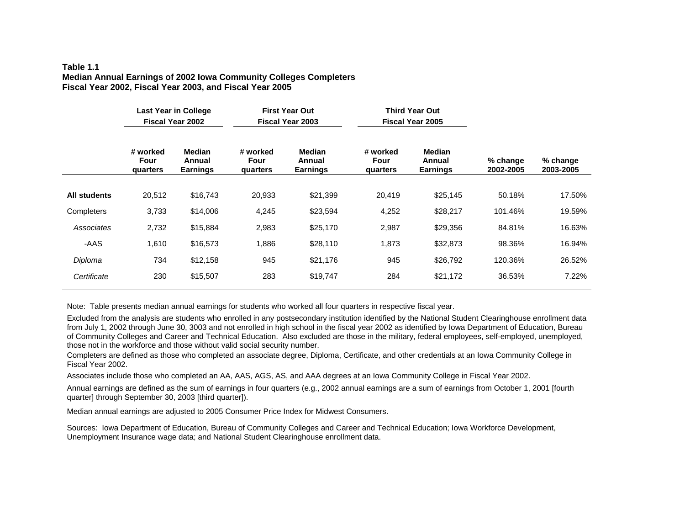### **Table 1.1Median Annual Earnings of 2002 Iowa Community Colleges Completers Fiscal Year 2002, Fiscal Year 2003, and Fiscal Year 2005**

|                     | <b>Last Year in College</b><br><b>Fiscal Year 2002</b><br><b>Median</b><br># worked<br>Four<br>Annual<br><b>Earnings</b><br>quarters |          | <b>First Year Out</b><br><b>Fiscal Year 2003</b> |                                            |                              | <b>Third Year Out</b><br><b>Fiscal Year 2005</b> |                       |                       |  |
|---------------------|--------------------------------------------------------------------------------------------------------------------------------------|----------|--------------------------------------------------|--------------------------------------------|------------------------------|--------------------------------------------------|-----------------------|-----------------------|--|
|                     |                                                                                                                                      |          | # worked<br>Four<br>quarters                     | <b>Median</b><br>Annual<br><b>Earnings</b> | # worked<br>Four<br>quarters | <b>Median</b><br>Annual<br><b>Earnings</b>       | % change<br>2002-2005 | % change<br>2003-2005 |  |
| <b>All students</b> | 20,512                                                                                                                               | \$16,743 | 20,933                                           | \$21,399                                   | 20,419                       | \$25,145                                         | 50.18%                | 17.50%                |  |
| Completers          | 3,733                                                                                                                                | \$14,006 | 4,245                                            | \$23,594                                   | 4,252                        | \$28,217                                         | 101.46%               | 19.59%                |  |
| Associates          | 2,732                                                                                                                                | \$15,884 | 2,983                                            | \$25,170                                   | 2,987                        | \$29,356                                         | 84.81%                | 16.63%                |  |
| -AAS                | 1,610                                                                                                                                | \$16,573 | 1,886                                            | \$28,110                                   | 1,873                        | \$32,873                                         | 98.36%                | 16.94%                |  |
| Diploma             | 734<br>\$12,158                                                                                                                      |          | 945                                              | \$21,176                                   | 945                          | \$26,792                                         | 120.36%               | 26.52%                |  |
| Certificate         | 230                                                                                                                                  | \$15,507 | 283<br>\$19,747                                  |                                            | 284                          | \$21,172                                         | 36.53%                | 7.22%                 |  |

Note: Table presents median annual earnings for students who worked all four quarters in respective fiscal year.

Excluded from the analysis are students who enrolled in any postsecondary institution identified by the National Student Clearinghouse enrollment data from July 1, 2002 through June 30, 3003 and not enrolled in high school in the fiscal year 2002 as identified by Iowa Department of Education, Bureau of Community Colleges and Career and Technical Education. Also excluded are those in the military, federal employees, self-employed, unemployed, those not in the workforce and those without valid social security number.

Completers are defined as those who completed an associate degree, Diploma, Certificate, and other credentials at an Iowa Community College in Fiscal Year 2002.

Associates include those who completed an AA, AAS, AGS, AS, and AAA degrees at an Iowa Community College in Fiscal Year 2002.

Annual earnings are defined as the sum of earnings in four quarters (e.g., 2002 annual earnings are a sum of earnings from October 1, 2001 [fourth quarter] through September 30, 2003 [third quarter]).

Median annual earnings are adjusted to 2005 Consumer Price Index for Midwest Consumers.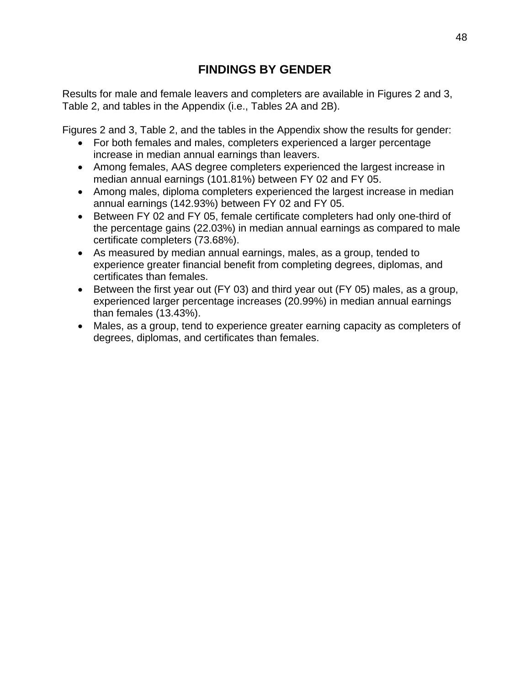# **FINDINGS BY GENDER**

Results for male and female leavers and completers are available in Figures 2 and 3, Table 2, and tables in the Appendix (i.e., Tables 2A and 2B).

Figures 2 and 3, Table 2, and the tables in the Appendix show the results for gender:

- For both females and males, completers experienced a larger percentage increase in median annual earnings than leavers.
- Among females, AAS degree completers experienced the largest increase in median annual earnings (101.81%) between FY 02 and FY 05.
- Among males, diploma completers experienced the largest increase in median annual earnings (142.93%) between FY 02 and FY 05.
- Between FY 02 and FY 05, female certificate completers had only one-third of the percentage gains (22.03%) in median annual earnings as compared to male certificate completers (73.68%).
- As measured by median annual earnings, males, as a group, tended to experience greater financial benefit from completing degrees, diplomas, and certificates than females.
- Between the first year out (FY 03) and third year out (FY 05) males, as a group, experienced larger percentage increases (20.99%) in median annual earnings than females (13.43%).
- Males, as a group, tend to experience greater earning capacity as completers of degrees, diplomas, and certificates than females.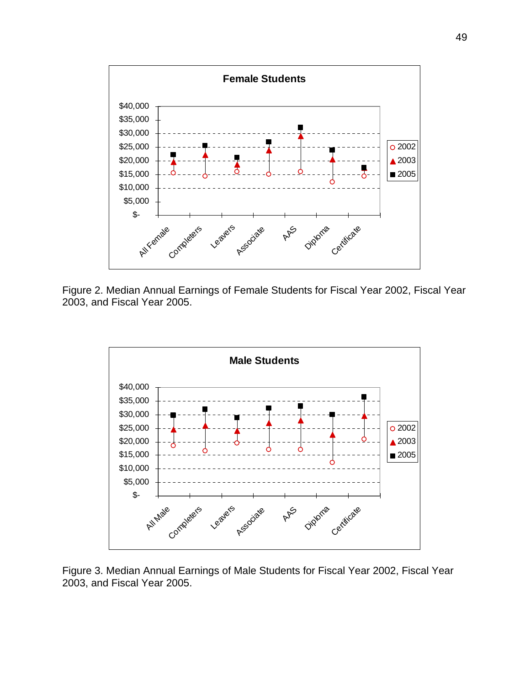

Figure 2. Median Annual Earnings of Female Students for Fiscal Year 2002, Fiscal Year 2003, and Fiscal Year 2005.



Figure 3. Median Annual Earnings of Male Students for Fiscal Year 2002, Fiscal Year 2003, and Fiscal Year 2005.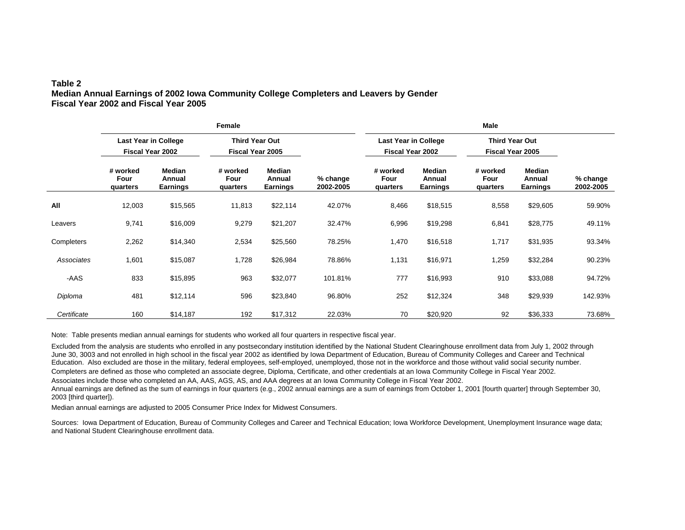## **Table 2 Median Annual Earnings of 2002 Iowa Community College Completers and Leavers by Gender Fiscal Year 2002 and Fiscal Year 2005**

|             |                                                        |                                            | Female                                           |                                            |                         |                                                        |                                            |                                                  |                                            |                       |  |
|-------------|--------------------------------------------------------|--------------------------------------------|--------------------------------------------------|--------------------------------------------|-------------------------|--------------------------------------------------------|--------------------------------------------|--------------------------------------------------|--------------------------------------------|-----------------------|--|
|             | <b>Last Year in College</b><br><b>Fiscal Year 2002</b> |                                            | <b>Third Year Out</b><br><b>Fiscal Year 2005</b> |                                            |                         | <b>Last Year in College</b><br><b>Fiscal Year 2002</b> |                                            | <b>Third Year Out</b><br><b>Fiscal Year 2005</b> |                                            |                       |  |
|             | # worked<br>Four<br>quarters                           | <b>Median</b><br>Annual<br><b>Earnings</b> | # worked<br>Four<br>quarters                     | <b>Median</b><br>Annual<br><b>Earnings</b> | $%$ change<br>2002-2005 | # worked<br>Four<br>quarters                           | <b>Median</b><br>Annual<br><b>Earnings</b> | # worked<br>Four<br>quarters                     | <b>Median</b><br>Annual<br><b>Earnings</b> | % change<br>2002-2005 |  |
| All         | 12,003                                                 | \$15,565                                   | 11,813                                           | \$22,114                                   | 42.07%                  | 8,466                                                  | \$18,515                                   | 8,558                                            | \$29,605                                   | 59.90%                |  |
| Leavers     | 9,741                                                  | \$16,009                                   | 9,279                                            | \$21,207                                   | 32.47%                  | 6,996                                                  | \$19,298                                   | 6,841                                            | \$28,775                                   | 49.11%                |  |
| Completers  | 2,262                                                  | \$14,340                                   | 2,534                                            | \$25,560                                   | 78.25%                  | 1,470                                                  | \$16,518                                   | 1,717                                            | \$31,935                                   | 93.34%                |  |
| Associates  | 1,601                                                  | \$15,087                                   | 1,728                                            | \$26,984                                   | 78.86%                  | 1,131                                                  | \$16,971                                   | 1,259                                            | \$32,284                                   | 90.23%                |  |
| -AAS        | 833                                                    | \$15,895                                   | 963                                              | \$32,077                                   | 101.81%                 | 777                                                    | \$16,993                                   | 910                                              | \$33,088                                   | 94.72%                |  |
| Diploma     | 481                                                    | \$12,114                                   | 596                                              | \$23,840                                   | 96.80%                  | 252                                                    | \$12,324                                   | 348                                              | \$29,939                                   | 142.93%               |  |
| Certificate | 160                                                    | \$14,187                                   | 192                                              | \$17,312                                   | 22.03%                  | 70                                                     | \$20,920                                   | 92                                               | \$36,333                                   | 73.68%                |  |

Note: Table presents median annual earnings for students who worked all four quarters in respective fiscal year.

Excluded from the analysis are students who enrolled in any postsecondary institution identified by the National Student Clearinghouse enrollment data from July 1, 2002 through June 30, 3003 and not enrolled in high school in the fiscal year 2002 as identified by Iowa Department of Education, Bureau of Community Colleges and Career and Technical Education. Also excluded are those in the military, federal employees, self-employed, unemployed, those not in the workforce and those without valid social security number. Completers are defined as those who completed an associate degree, Diploma, Certificate, and other credentials at an Iowa Community College in Fiscal Year 2002. Associates include those who completed an AA, AAS, AGS, AS, and AAA degrees at an Iowa Community College in Fiscal Year 2002.

Annual earnings are defined as the sum of earnings in four quarters (e.g., 2002 annual earnings are a sum of earnings from October 1, 2001 [fourth quarter] through September 30, 2003 [third quarter]).

Median annual earnings are adjusted to 2005 Consumer Price Index for Midwest Consumers.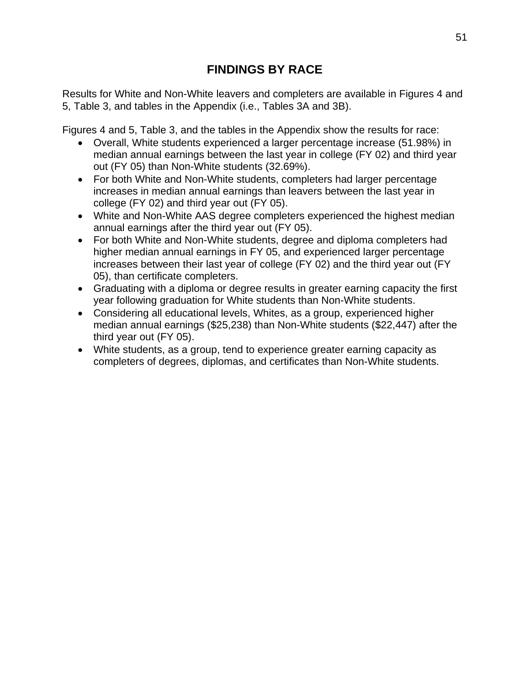# **FINDINGS BY RACE**

Results for White and Non-White leavers and completers are available in Figures 4 and 5, Table 3, and tables in the Appendix (i.e., Tables 3A and 3B).

Figures 4 and 5, Table 3, and the tables in the Appendix show the results for race:

- Overall, White students experienced a larger percentage increase (51.98%) in median annual earnings between the last year in college (FY 02) and third year out (FY 05) than Non-White students (32.69%).
- For both White and Non-White students, completers had larger percentage increases in median annual earnings than leavers between the last year in college (FY 02) and third year out (FY 05).
- White and Non-White AAS degree completers experienced the highest median annual earnings after the third year out (FY 05).
- For both White and Non-White students, degree and diploma completers had higher median annual earnings in FY 05, and experienced larger percentage increases between their last year of college (FY 02) and the third year out (FY 05), than certificate completers.
- Graduating with a diploma or degree results in greater earning capacity the first year following graduation for White students than Non-White students.
- Considering all educational levels, Whites, as a group, experienced higher median annual earnings (\$25,238) than Non-White students (\$22,447) after the third year out (FY 05).
- White students, as a group, tend to experience greater earning capacity as completers of degrees, diplomas, and certificates than Non-White students.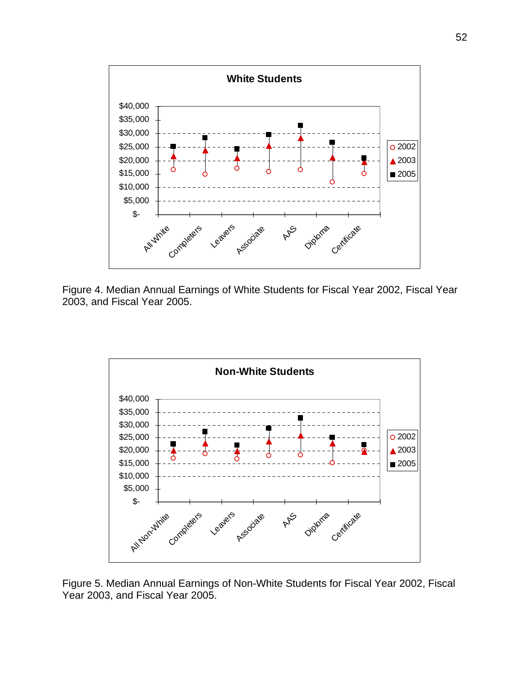

Figure 4. Median Annual Earnings of White Students for Fiscal Year 2002, Fiscal Year 2003, and Fiscal Year 2005.



Figure 5. Median Annual Earnings of Non-White Students for Fiscal Year 2002, Fiscal Year 2003, and Fiscal Year 2005.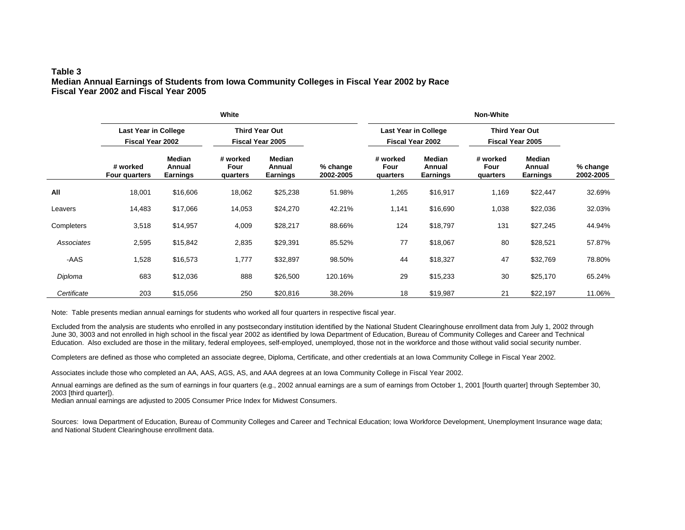## **Table 3 Median Annual Earnings of Students from Iowa Community Colleges in Fiscal Year 2002 by Race Fiscal Year 2002 and Fiscal Year 2005**

|             |                                                        |                                     | White                                            |                                     |                       | <b>Non-White</b>                                       |                                     |                                           |                                     |                       |  |  |
|-------------|--------------------------------------------------------|-------------------------------------|--------------------------------------------------|-------------------------------------|-----------------------|--------------------------------------------------------|-------------------------------------|-------------------------------------------|-------------------------------------|-----------------------|--|--|
|             | <b>Last Year in College</b><br><b>Fiscal Year 2002</b> |                                     | <b>Third Year Out</b><br><b>Fiscal Year 2005</b> |                                     |                       | <b>Last Year in College</b><br><b>Fiscal Year 2002</b> |                                     | Third Year Out<br><b>Fiscal Year 2005</b> |                                     |                       |  |  |
|             | # worked<br>Four quarters                              | <b>Median</b><br>Annual<br>Earnings | # worked<br>Four<br>quarters                     | Median<br>Annual<br><b>Earnings</b> | % change<br>2002-2005 | # worked<br>Four<br>quarters                           | Median<br>Annual<br><b>Earnings</b> | # worked<br>Four<br>quarters              | Median<br>Annual<br><b>Earnings</b> | % change<br>2002-2005 |  |  |
| All         | 18,001                                                 | \$16,606                            | 18,062                                           | \$25,238                            | 51.98%                | 1,265                                                  | \$16,917                            | 1,169                                     | \$22,447                            | 32.69%                |  |  |
| Leavers     | 14,483                                                 | \$17,066                            | 14,053                                           | \$24,270                            | 42.21%                | 1,141                                                  | \$16,690                            | 1,038                                     | \$22,036                            | 32.03%                |  |  |
| Completers  | 3,518                                                  | \$14,957                            | 4,009                                            | \$28,217                            | 88.66%                | 124                                                    | \$18,797                            | 131                                       | \$27,245                            | 44.94%                |  |  |
| Associates  | 2,595                                                  | \$15,842                            | 2,835                                            | \$29,391                            | 85.52%                | 77                                                     | \$18,067                            | 80                                        | \$28,521                            | 57.87%                |  |  |
| -AAS        | 1,528                                                  | \$16,573                            | 1,777                                            | \$32,897                            | 98.50%                | 44                                                     | \$18,327                            | 47                                        | \$32,769                            | 78.80%                |  |  |
| Diploma     | 683                                                    | \$12,036                            | 888                                              | \$26,500                            | 120.16%               | 29                                                     | \$15,233                            | 30                                        | \$25,170                            | 65.24%                |  |  |
| Certificate | 203                                                    | \$15,056                            | 250                                              | \$20,816                            | 38.26%                | 18                                                     | \$19,987                            | 21                                        | \$22,197                            | 11.06%                |  |  |

Note: Table presents median annual earnings for students who worked all four quarters in respective fiscal year.

Excluded from the analysis are students who enrolled in any postsecondary institution identified by the National Student Clearinghouse enrollment data from July 1, 2002 through June 30, 3003 and not enrolled in high school in the fiscal year 2002 as identified by Iowa Department of Education, Bureau of Community Colleges and Career and Technical Education. Also excluded are those in the military, federal employees, self-employed, unemployed, those not in the workforce and those without valid social security number.

Completers are defined as those who completed an associate degree, Diploma, Certificate, and other credentials at an Iowa Community College in Fiscal Year 2002.

Associates include those who completed an AA, AAS, AGS, AS, and AAA degrees at an Iowa Community College in Fiscal Year 2002.

Annual earnings are defined as the sum of earnings in four quarters (e.g., 2002 annual earnings are a sum of earnings from October 1, 2001 [fourth quarter] through September 30, 2003 [third quarter]).

Median annual earnings are adjusted to 2005 Consumer Price Index for Midwest Consumers.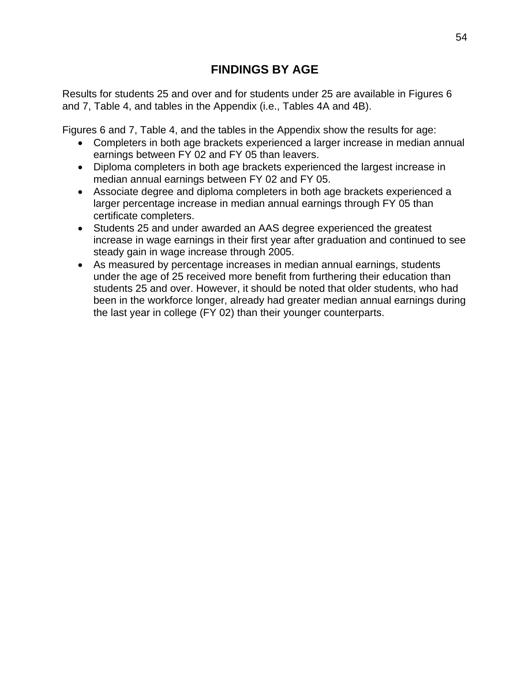# **FINDINGS BY AGE**

Results for students 25 and over and for students under 25 are available in Figures 6 and 7, Table 4, and tables in the Appendix (i.e., Tables 4A and 4B).

Figures 6 and 7, Table 4, and the tables in the Appendix show the results for age:

- Completers in both age brackets experienced a larger increase in median annual earnings between FY 02 and FY 05 than leavers.
- Diploma completers in both age brackets experienced the largest increase in median annual earnings between FY 02 and FY 05.
- Associate degree and diploma completers in both age brackets experienced a larger percentage increase in median annual earnings through FY 05 than certificate completers.
- Students 25 and under awarded an AAS degree experienced the greatest increase in wage earnings in their first year after graduation and continued to see steady gain in wage increase through 2005.
- As measured by percentage increases in median annual earnings, students under the age of 25 received more benefit from furthering their education than students 25 and over. However, it should be noted that older students, who had been in the workforce longer, already had greater median annual earnings during the last year in college (FY 02) than their younger counterparts.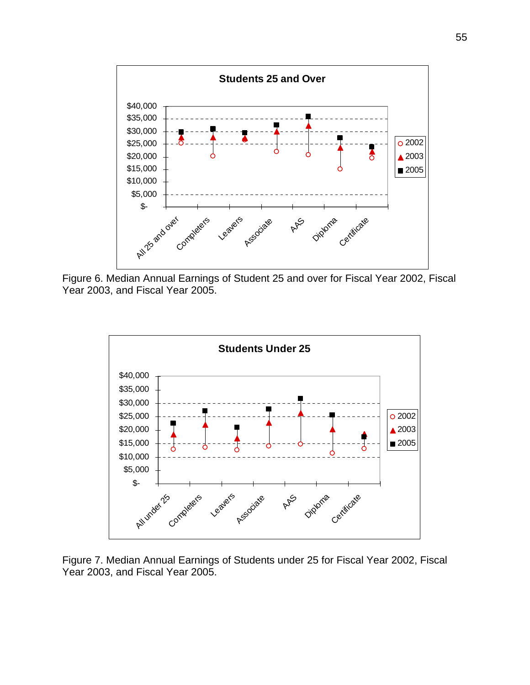

Figure 6. Median Annual Earnings of Student 25 and over for Fiscal Year 2002, Fiscal Year 2003, and Fiscal Year 2005.



Figure 7. Median Annual Earnings of Students under 25 for Fiscal Year 2002, Fiscal Year 2003, and Fiscal Year 2005.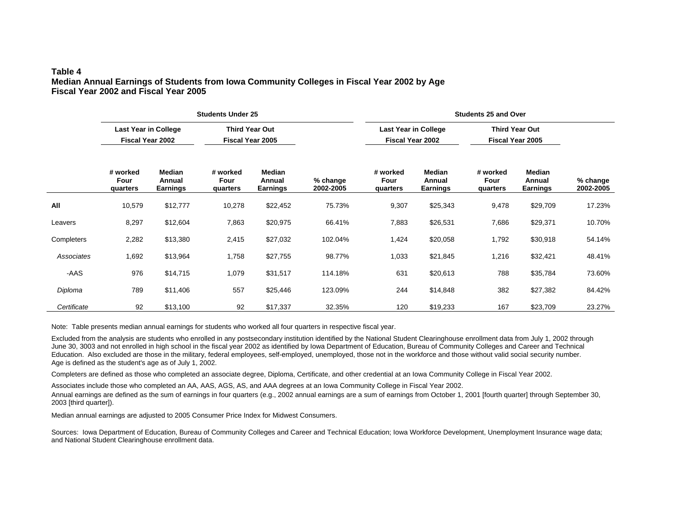## **Table 4 Median Annual Earnings of Students from Iowa Community Colleges in Fiscal Year 2002 by Age Fiscal Year 2002 and Fiscal Year 2005**

|             |                                                 |                                     | <b>Students Under 25</b>                  |                                     |                       | <b>Students 25 and Over</b>                     |                                     |                                           |                                     |                       |  |  |
|-------------|-------------------------------------------------|-------------------------------------|-------------------------------------------|-------------------------------------|-----------------------|-------------------------------------------------|-------------------------------------|-------------------------------------------|-------------------------------------|-----------------------|--|--|
|             | <b>Last Year in College</b><br>Fiscal Year 2002 |                                     | <b>Third Year Out</b><br>Fiscal Year 2005 |                                     |                       | <b>Last Year in College</b><br>Fiscal Year 2002 |                                     | <b>Third Year Out</b><br>Fiscal Year 2005 |                                     |                       |  |  |
|             | # worked<br>Four<br>quarters                    | <b>Median</b><br>Annual<br>Earnings | # worked<br>Four<br>quarters              | <b>Median</b><br>Annual<br>Earnings | % change<br>2002-2005 | # worked<br>Four<br>quarters                    | <b>Median</b><br>Annual<br>Earnings | # worked<br>Four<br>quarters              | Median<br>Annual<br><b>Earnings</b> | % change<br>2002-2005 |  |  |
| All         | 10,579                                          | \$12,777                            | 10,278                                    | \$22,452                            | 75.73%                | 9,307                                           | \$25,343                            | 9,478                                     | \$29,709                            | 17.23%                |  |  |
| Leavers     | 8,297                                           | \$12,604                            | 7,863                                     | \$20,975                            | 66.41%                | 7,883                                           | \$26,531                            | 7,686                                     | \$29,371                            | 10.70%                |  |  |
| Completers  | 2,282                                           | \$13,380                            | 2,415                                     | \$27,032                            | 102.04%               | 1,424                                           | \$20,058                            | 1,792                                     | \$30,918                            | 54.14%                |  |  |
| Associates  | 1,692                                           | \$13,964                            | 1,758                                     | \$27,755                            | 98.77%                | 1,033                                           | \$21,845                            | 1,216                                     | \$32,421                            | 48.41%                |  |  |
| -AAS        | 976                                             | \$14,715                            | 1,079                                     | \$31,517                            | 114.18%               | 631                                             | \$20,613                            | 788                                       | \$35,784                            | 73.60%                |  |  |
| Diploma     | 789                                             | \$11,406                            | 557                                       | \$25,446                            | 123.09%               | 244                                             | \$14,848                            | 382                                       | \$27,382                            | 84.42%                |  |  |
| Certificate | 92                                              | \$13,100                            | 92                                        | \$17,337                            | 32.35%                | 120                                             | \$19,233                            | 167                                       | \$23,709                            | 23.27%                |  |  |

Note: Table presents median annual earnings for students who worked all four quarters in respective fiscal year.

Excluded from the analysis are students who enrolled in any postsecondary institution identified by the National Student Clearinghouse enrollment data from July 1, 2002 through June 30, 3003 and not enrolled in high school in the fiscal year 2002 as identified by Iowa Department of Education, Bureau of Community Colleges and Career and Technical Education. Also excluded are those in the military, federal employees, self-employed, unemployed, those not in the workforce and those without valid social security number. Age is defined as the student's age as of July 1, 2002.

Completers are defined as those who completed an associate degree, Diploma, Certificate, and other credential at an Iowa Community College in Fiscal Year 2002.

Associates include those who completed an AA, AAS, AGS, AS, and AAA degrees at an Iowa Community College in Fiscal Year 2002.

Annual earnings are defined as the sum of earnings in four quarters (e.g., 2002 annual earnings are a sum of earnings from October 1, 2001 [fourth quarter] through September 30, 2003 [third quarter]).

Median annual earnings are adjusted to 2005 Consumer Price Index for Midwest Consumers.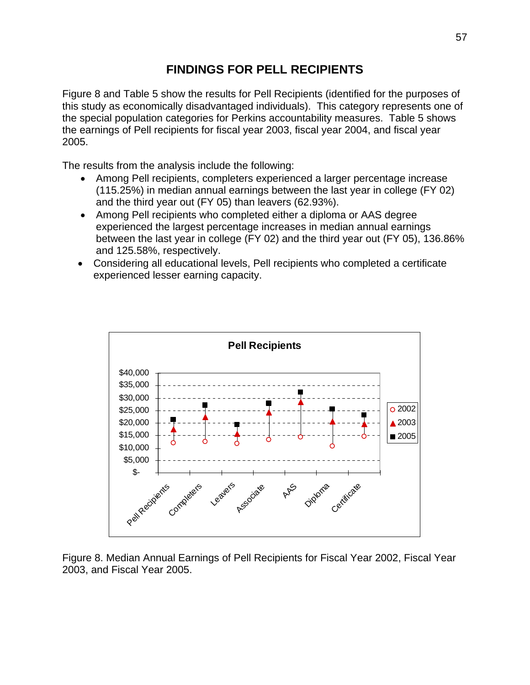# **FINDINGS FOR PELL RECIPIENTS**

Figure 8 and Table 5 show the results for Pell Recipients (identified for the purposes of this study as economically disadvantaged individuals). This category represents one of the special population categories for Perkins accountability measures. Table 5 shows the earnings of Pell recipients for fiscal year 2003, fiscal year 2004, and fiscal year 2005.

The results from the analysis include the following:

- Among Pell recipients, completers experienced a larger percentage increase (115.25%) in median annual earnings between the last year in college (FY 02) and the third year out (FY 05) than leavers (62.93%).
- Among Pell recipients who completed either a diploma or AAS degree experienced the largest percentage increases in median annual earnings between the last year in college (FY 02) and the third year out (FY 05), 136.86% and 125.58%, respectively.
- Considering all educational levels, Pell recipients who completed a certificate experienced lesser earning capacity.



Figure 8. Median Annual Earnings of Pell Recipients for Fiscal Year 2002, Fiscal Year 2003, and Fiscal Year 2005.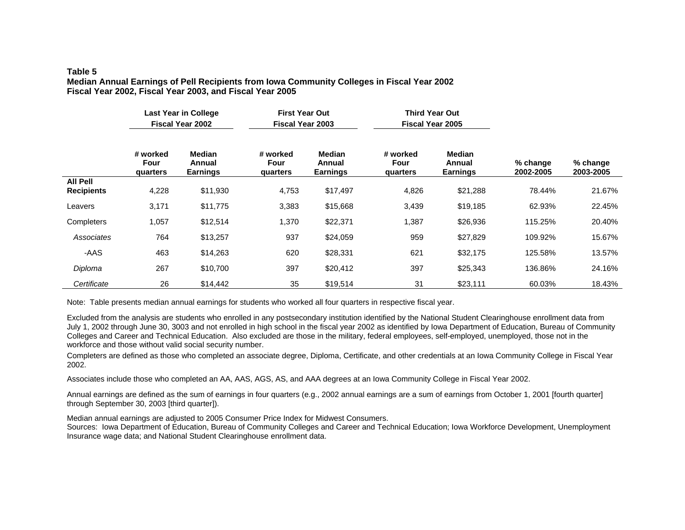#### **Table 5 Median Annual Earnings of Pell Recipients from Iowa Community Colleges in Fiscal Year 2002 Fiscal Year 2002, Fiscal Year 2003, and Fiscal Year 2005**

|                                      | <b>Last Year in College</b><br><b>Fiscal Year 2002</b> |                                            | <b>First Year Out</b><br><b>Fiscal Year 2003</b> |                                     |                              | <b>Third Year Out</b><br><b>Fiscal Year 2005</b> |                       |                         |
|--------------------------------------|--------------------------------------------------------|--------------------------------------------|--------------------------------------------------|-------------------------------------|------------------------------|--------------------------------------------------|-----------------------|-------------------------|
|                                      | # worked<br>Four<br>quarters                           | <b>Median</b><br>Annual<br><b>Earnings</b> | # worked<br>Four<br>quarters                     | <b>Median</b><br>Annual<br>Earnings | # worked<br>Four<br>quarters | <b>Median</b><br>Annual<br><b>Earnings</b>       | % change<br>2002-2005 | $%$ change<br>2003-2005 |
| <b>All Pell</b><br><b>Recipients</b> | 4,228                                                  | \$11,930                                   | 4,753                                            | \$17,497                            | 4,826                        | \$21,288                                         | 78.44%                | 21.67%                  |
| Leavers                              | 3,171                                                  | \$11,775                                   | 3,383                                            | \$15,668                            | 3,439                        | \$19,185                                         | 62.93%                | 22.45%                  |
| Completers                           | 1,057                                                  | \$12,514                                   | 1,370                                            | \$22,371                            | 1,387                        | \$26,936                                         | 115.25%               | 20.40%                  |
| Associates                           | 764                                                    | \$13,257                                   | 937                                              | \$24,059                            | 959                          | \$27,829                                         | 109.92%               | 15.67%                  |
| -AAS                                 | 463                                                    | \$14,263                                   | 620                                              | \$28,331                            | 621                          | \$32,175                                         | 125.58%               | 13.57%                  |
| Diploma                              | 267                                                    | \$10,700                                   | 397                                              | \$20,412                            | 397                          | \$25,343                                         | 136.86%               | 24.16%                  |
| Certificate                          | 26                                                     | \$14,442                                   | 35                                               | \$19,514                            | 31                           | \$23,111                                         | 60.03%                | 18.43%                  |

Note: Table presents median annual earnings for students who worked all four quarters in respective fiscal year.

Excluded from the analysis are students who enrolled in any postsecondary institution identified by the National Student Clearinghouse enrollment data from July 1, 2002 through June 30, 3003 and not enrolled in high school in the fiscal year 2002 as identified by Iowa Department of Education, Bureau of Community Colleges and Career and Technical Education. Also excluded are those in the military, federal employees, self-employed, unemployed, those not in the workforce and those without valid social security number.

Completers are defined as those who completed an associate degree, Diploma, Certificate, and other credentials at an Iowa Community College in Fiscal Year 2002.

Associates include those who completed an AA, AAS, AGS, AS, and AAA degrees at an Iowa Community College in Fiscal Year 2002.

Annual earnings are defined as the sum of earnings in four quarters (e.g., 2002 annual earnings are a sum of earnings from October 1, 2001 [fourth quarter] through September 30, 2003 [third quarter]).

Median annual earnings are adjusted to 2005 Consumer Price Index for Midwest Consumers.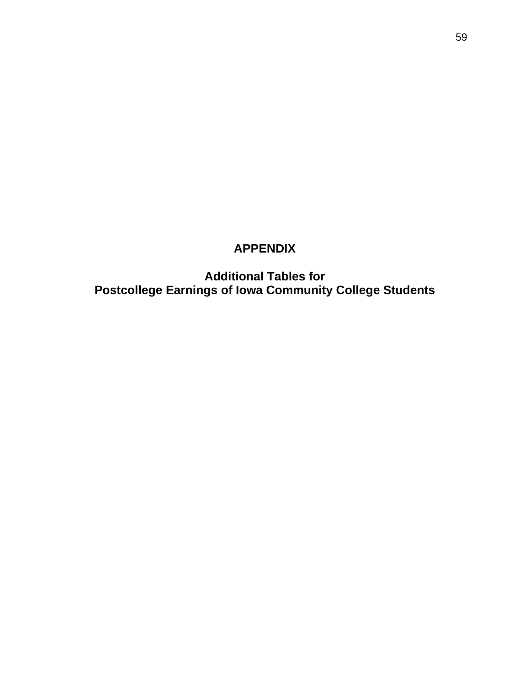# **APPENDIX**

**Additional Tables for Postcollege Earnings of Iowa Community College Students**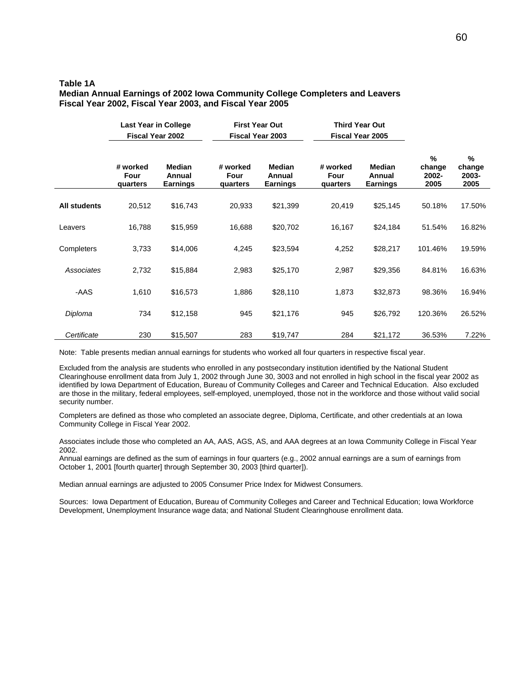### **Table 1A Median Annual Earnings of 2002 Iowa Community College Completers and Leavers Fiscal Year 2002, Fiscal Year 2003, and Fiscal Year 2005**

|                     | <b>Last Year in College</b><br><b>Fiscal Year 2002</b> |                                            | <b>First Year Out</b><br><b>Fiscal Year 2003</b> |                                     |                              | <b>Third Year Out</b><br><b>Fiscal Year 2005</b> |                              |                              |
|---------------------|--------------------------------------------------------|--------------------------------------------|--------------------------------------------------|-------------------------------------|------------------------------|--------------------------------------------------|------------------------------|------------------------------|
|                     | # worked<br>Four<br>quarters                           | <b>Median</b><br>Annual<br><b>Earnings</b> | # worked<br>Four<br>quarters                     | Median<br>Annual<br><b>Earnings</b> | # worked<br>Four<br>quarters | <b>Median</b><br>Annual<br><b>Earnings</b>       | %<br>change<br>2002-<br>2005 | %<br>change<br>2003-<br>2005 |
| <b>All students</b> | 20,512                                                 | \$16,743                                   | 20,933                                           | \$21,399                            | 20,419                       | \$25,145                                         | 50.18%                       | 17.50%                       |
| Leavers             | 16,788                                                 | \$15,959                                   | 16,688                                           | \$20,702                            | 16,167                       | \$24,184                                         | 51.54%                       | 16.82%                       |
| Completers          | 3,733                                                  | \$14,006                                   | 4,245                                            | \$23,594                            | 4,252                        | \$28,217                                         | 101.46%                      | 19.59%                       |
| Associates          | 2,732                                                  | \$15,884                                   | 2,983                                            | \$25,170                            | 2,987                        | \$29,356                                         | 84.81%                       | 16.63%                       |
| -AAS                | 1,610                                                  | \$16,573                                   | 1,886                                            | \$28,110                            | 1,873                        | \$32,873                                         | 98.36%                       | 16.94%                       |
| Diploma             | 734                                                    | \$12,158                                   | 945                                              | \$21,176                            | 945                          | \$26,792                                         | 120.36%                      | 26.52%                       |
| Certificate         | 230                                                    | \$15,507                                   | 283                                              | \$19,747                            | 284                          | \$21,172                                         | 36.53%                       | 7.22%                        |

Note: Table presents median annual earnings for students who worked all four quarters in respective fiscal year.

Excluded from the analysis are students who enrolled in any postsecondary institution identified by the National Student Clearinghouse enrollment data from July 1, 2002 through June 30, 3003 and not enrolled in high school in the fiscal year 2002 as identified by Iowa Department of Education, Bureau of Community Colleges and Career and Technical Education. Also excluded are those in the military, federal employees, self-employed, unemployed, those not in the workforce and those without valid social security number.

Completers are defined as those who completed an associate degree, Diploma, Certificate, and other credentials at an Iowa Community College in Fiscal Year 2002.

Associates include those who completed an AA, AAS, AGS, AS, and AAA degrees at an Iowa Community College in Fiscal Year 2002.

Annual earnings are defined as the sum of earnings in four quarters (e.g., 2002 annual earnings are a sum of earnings from October 1, 2001 [fourth quarter] through September 30, 2003 [third quarter]).

Median annual earnings are adjusted to 2005 Consumer Price Index for Midwest Consumers.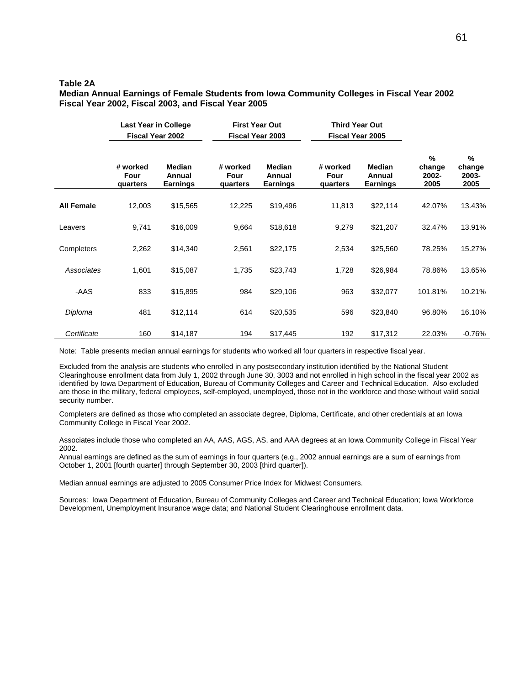## **Table 2A**

**Median Annual Earnings of Female Students from Iowa Community Colleges in Fiscal Year 2002 Fiscal Year 2002, Fiscal 2003, and Fiscal Year 2005** 

|                   | <b>Last Year in College</b><br><b>Fiscal Year 2002</b> |                                            | <b>First Year Out</b><br><b>Fiscal Year 2003</b> |                                            | <b>Third Year Out</b><br><b>Fiscal Year 2005</b> |                                     |                              |                              |
|-------------------|--------------------------------------------------------|--------------------------------------------|--------------------------------------------------|--------------------------------------------|--------------------------------------------------|-------------------------------------|------------------------------|------------------------------|
|                   | # worked<br>Four<br>quarters                           | <b>Median</b><br>Annual<br><b>Earnings</b> | # worked<br>Four<br>quarters                     | <b>Median</b><br>Annual<br><b>Earnings</b> | # worked<br>Four<br>quarters                     | <b>Median</b><br>Annual<br>Earnings | %<br>change<br>2002-<br>2005 | %<br>change<br>2003-<br>2005 |
| <b>All Female</b> | 12,003                                                 | \$15,565                                   | 12,225                                           | \$19,496                                   | 11,813                                           | \$22,114                            | 42.07%                       | 13.43%                       |
| Leavers           | 9,741                                                  | \$16,009                                   | 9,664                                            | \$18,618                                   | 9,279                                            | \$21,207                            | 32.47%                       | 13.91%                       |
| Completers        | 2,262                                                  | \$14,340                                   | 2,561                                            | \$22,175                                   | 2,534                                            | \$25,560                            | 78.25%                       | 15.27%                       |
| Associates        | 1,601                                                  | \$15,087                                   | 1,735                                            | \$23,743                                   | 1,728                                            | \$26,984                            | 78.86%                       | 13.65%                       |
| -AAS              | 833                                                    | \$15,895                                   | 984                                              | \$29,106                                   | 963                                              | \$32,077                            | 101.81%                      | 10.21%                       |
| Diploma           | 481                                                    | \$12,114                                   | 614                                              | \$20,535                                   | 596                                              | \$23,840                            | 96.80%                       | 16.10%                       |
| Certificate       | 160                                                    | \$14,187                                   | 194                                              | \$17,445                                   | 192                                              | \$17,312                            | 22.03%                       | $-0.76%$                     |

Note: Table presents median annual earnings for students who worked all four quarters in respective fiscal year.

Excluded from the analysis are students who enrolled in any postsecondary institution identified by the National Student Clearinghouse enrollment data from July 1, 2002 through June 30, 3003 and not enrolled in high school in the fiscal year 2002 as identified by Iowa Department of Education, Bureau of Community Colleges and Career and Technical Education. Also excluded are those in the military, federal employees, self-employed, unemployed, those not in the workforce and those without valid social security number.

Completers are defined as those who completed an associate degree, Diploma, Certificate, and other credentials at an Iowa Community College in Fiscal Year 2002.

Associates include those who completed an AA, AAS, AGS, AS, and AAA degrees at an Iowa Community College in Fiscal Year 2002.

Annual earnings are defined as the sum of earnings in four quarters (e.g., 2002 annual earnings are a sum of earnings from October 1, 2001 [fourth quarter] through September 30, 2003 [third quarter]).

Median annual earnings are adjusted to 2005 Consumer Price Index for Midwest Consumers.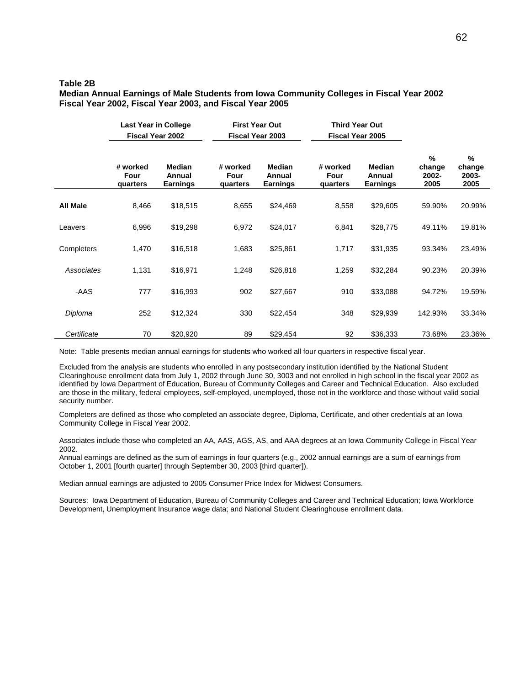### **Table 2B**

#### **Median Annual Earnings of Male Students from Iowa Community Colleges in Fiscal Year 2002 Fiscal Year 2002, Fiscal Year 2003, and Fiscal Year 2005**

|                 | <b>Last Year in College</b><br><b>Fiscal Year 2002</b> |                                            | <b>First Year Out</b><br><b>Fiscal Year 2003</b> |                                            | <b>Third Year Out</b><br>Fiscal Year 2005 |                                            |                              |                                 |
|-----------------|--------------------------------------------------------|--------------------------------------------|--------------------------------------------------|--------------------------------------------|-------------------------------------------|--------------------------------------------|------------------------------|---------------------------------|
|                 | # worked<br>Four<br>quarters                           | <b>Median</b><br>Annual<br><b>Earnings</b> | # worked<br>Four<br>quarters                     | <b>Median</b><br>Annual<br><b>Earnings</b> | # worked<br>Four<br>quarters              | <b>Median</b><br>Annual<br><b>Earnings</b> | %<br>change<br>2002-<br>2005 | $\%$<br>change<br>2003-<br>2005 |
| <b>All Male</b> | 8,466                                                  | \$18,515                                   | 8,655                                            | \$24,469                                   | 8,558                                     | \$29,605                                   | 59.90%                       | 20.99%                          |
| Leavers         | 6,996                                                  | \$19,298                                   | 6,972                                            | \$24,017                                   | 6,841                                     | \$28,775                                   | 49.11%                       | 19.81%                          |
| Completers      | 1,470                                                  | \$16,518                                   | 1,683                                            | \$25,861                                   | 1,717                                     | \$31,935                                   | 93.34%                       | 23.49%                          |
| Associates      | 1,131                                                  | \$16,971                                   | 1,248                                            | \$26,816                                   | 1,259                                     | \$32,284                                   | 90.23%                       | 20.39%                          |
| -AAS            | 777                                                    | \$16,993                                   | 902                                              | \$27,667                                   | 910                                       | \$33,088                                   | 94.72%                       | 19.59%                          |
| Diploma         | 252                                                    | \$12,324                                   | 330                                              | \$22,454                                   | 348                                       | \$29,939                                   | 142.93%                      | 33.34%                          |
| Certificate     | 70                                                     | \$20,920                                   | 89                                               | \$29,454                                   | 92                                        | \$36,333                                   | 73.68%                       | 23.36%                          |

Note: Table presents median annual earnings for students who worked all four quarters in respective fiscal year.

Excluded from the analysis are students who enrolled in any postsecondary institution identified by the National Student Clearinghouse enrollment data from July 1, 2002 through June 30, 3003 and not enrolled in high school in the fiscal year 2002 as identified by Iowa Department of Education, Bureau of Community Colleges and Career and Technical Education. Also excluded are those in the military, federal employees, self-employed, unemployed, those not in the workforce and those without valid social security number.

Completers are defined as those who completed an associate degree, Diploma, Certificate, and other credentials at an Iowa Community College in Fiscal Year 2002.

Associates include those who completed an AA, AAS, AGS, AS, and AAA degrees at an Iowa Community College in Fiscal Year 2002.

Annual earnings are defined as the sum of earnings in four quarters (e.g., 2002 annual earnings are a sum of earnings from October 1, 2001 [fourth quarter] through September 30, 2003 [third quarter]).

Median annual earnings are adjusted to 2005 Consumer Price Index for Midwest Consumers.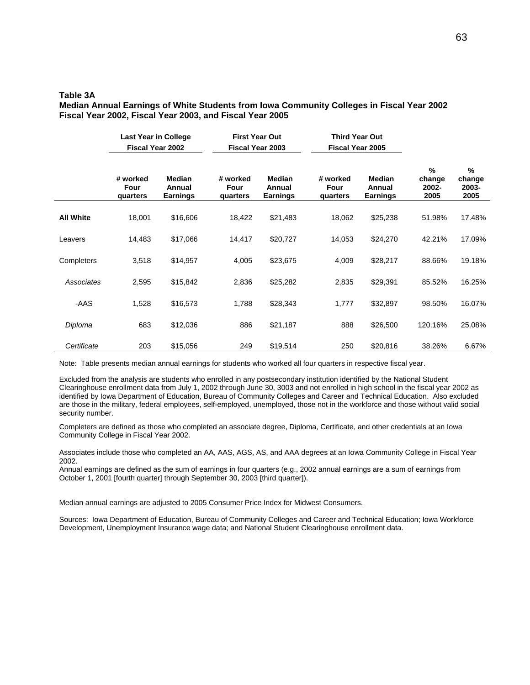#### **Table 3A**

#### **Median Annual Earnings of White Students from Iowa Community Colleges in Fiscal Year 2002 Fiscal Year 2002, Fiscal Year 2003, and Fiscal Year 2005**

|                  | Last Year in College<br><b>Fiscal Year 2002</b> |                                            |                              | <b>First Year Out</b><br><b>Third Year Out</b><br><b>Fiscal Year 2003</b><br><b>Fiscal Year 2005</b> |                              |                                            |                              |                                 |
|------------------|-------------------------------------------------|--------------------------------------------|------------------------------|------------------------------------------------------------------------------------------------------|------------------------------|--------------------------------------------|------------------------------|---------------------------------|
|                  | # worked<br>Four<br>quarters                    | <b>Median</b><br>Annual<br><b>Earnings</b> | # worked<br>Four<br>quarters | <b>Median</b><br>Annual<br><b>Earnings</b>                                                           | # worked<br>Four<br>quarters | <b>Median</b><br>Annual<br><b>Earnings</b> | %<br>change<br>2002-<br>2005 | $\%$<br>change<br>2003-<br>2005 |
| <b>All White</b> | 18,001                                          | \$16,606                                   | 18,422                       | \$21,483                                                                                             | 18,062                       | \$25,238                                   | 51.98%                       | 17.48%                          |
| Leavers          | 14,483                                          | \$17,066                                   | 14,417                       | \$20,727                                                                                             | 14,053                       | \$24,270                                   | 42.21%                       | 17.09%                          |
| Completers       | 3,518                                           | \$14,957                                   | 4,005                        | \$23,675                                                                                             | 4,009                        | \$28,217                                   | 88.66%                       | 19.18%                          |
| Associates       | 2,595                                           | \$15,842                                   | 2,836                        | \$25,282                                                                                             | 2,835                        | \$29,391                                   | 85.52%                       | 16.25%                          |
| -AAS             | 1,528                                           | \$16,573                                   | 1,788                        | \$28,343                                                                                             | 1,777                        | \$32,897                                   | 98.50%                       | 16.07%                          |
| Diploma          | 683                                             | \$12,036                                   | 886                          | \$21,187                                                                                             | 888                          | \$26,500                                   | 120.16%                      | 25.08%                          |
| Certificate      | 203                                             | \$15,056                                   | 249                          | \$19,514                                                                                             | 250                          | \$20,816                                   | 38.26%                       | 6.67%                           |

Note: Table presents median annual earnings for students who worked all four quarters in respective fiscal year.

Excluded from the analysis are students who enrolled in any postsecondary institution identified by the National Student Clearinghouse enrollment data from July 1, 2002 through June 30, 3003 and not enrolled in high school in the fiscal year 2002 as identified by Iowa Department of Education, Bureau of Community Colleges and Career and Technical Education. Also excluded are those in the military, federal employees, self-employed, unemployed, those not in the workforce and those without valid social security number.

Completers are defined as those who completed an associate degree, Diploma, Certificate, and other credentials at an Iowa Community College in Fiscal Year 2002.

Associates include those who completed an AA, AAS, AGS, AS, and AAA degrees at an Iowa Community College in Fiscal Year 2002.

Annual earnings are defined as the sum of earnings in four quarters (e.g., 2002 annual earnings are a sum of earnings from October 1, 2001 [fourth quarter] through September 30, 2003 [third quarter]).

Median annual earnings are adjusted to 2005 Consumer Price Index for Midwest Consumers.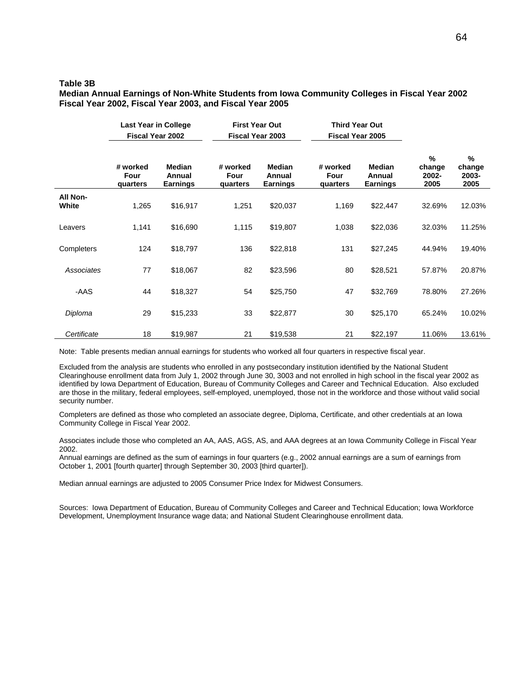### **Table 3B**

**Median Annual Earnings of Non-White Students from Iowa Community Colleges in Fiscal Year 2002 Fiscal Year 2002, Fiscal Year 2003, and Fiscal Year 2005** 

|                          | <b>Last Year in College</b><br><b>Fiscal Year 2002</b> |                                            |                              | <b>First Year Out</b><br><b>Third Year Out</b><br><b>Fiscal Year 2003</b><br>Fiscal Year 2005 |                              |                                     |                                 |                                 |
|--------------------------|--------------------------------------------------------|--------------------------------------------|------------------------------|-----------------------------------------------------------------------------------------------|------------------------------|-------------------------------------|---------------------------------|---------------------------------|
|                          | # worked<br>Four<br>quarters                           | <b>Median</b><br>Annual<br><b>Earnings</b> | # worked<br>Four<br>quarters | <b>Median</b><br>Annual<br><b>Earnings</b>                                                    | # worked<br>Four<br>quarters | Median<br>Annual<br><b>Earnings</b> | $\%$<br>change<br>2002-<br>2005 | $\%$<br>change<br>2003-<br>2005 |
| <b>All Non-</b><br>White | 1,265                                                  | \$16,917                                   | 1,251                        | \$20,037                                                                                      | 1,169                        | \$22,447                            | 32.69%                          | 12.03%                          |
| Leavers                  | 1,141                                                  | \$16,690                                   | 1,115                        | \$19,807                                                                                      | 1,038                        | \$22,036                            | 32.03%                          | 11.25%                          |
| Completers               | 124                                                    | \$18,797                                   | 136                          | \$22,818                                                                                      | 131                          | \$27,245                            | 44.94%                          | 19.40%                          |
| Associates               | 77                                                     | \$18,067                                   | 82                           | \$23,596                                                                                      | 80                           | \$28,521                            | 57.87%                          | 20.87%                          |
| -AAS                     | 44                                                     | \$18,327                                   | 54                           | \$25,750                                                                                      | 47                           | \$32,769                            | 78.80%                          | 27.26%                          |
| Diploma                  | 29                                                     | \$15,233                                   | 33                           | \$22,877                                                                                      | 30                           | \$25,170                            | 65.24%                          | 10.02%                          |
| Certificate              | 18                                                     | \$19,987                                   | 21                           | \$19,538                                                                                      | 21                           | \$22,197                            | 11.06%                          | 13.61%                          |

Note: Table presents median annual earnings for students who worked all four quarters in respective fiscal year.

Excluded from the analysis are students who enrolled in any postsecondary institution identified by the National Student Clearinghouse enrollment data from July 1, 2002 through June 30, 3003 and not enrolled in high school in the fiscal year 2002 as identified by Iowa Department of Education, Bureau of Community Colleges and Career and Technical Education. Also excluded are those in the military, federal employees, self-employed, unemployed, those not in the workforce and those without valid social security number.

Completers are defined as those who completed an associate degree, Diploma, Certificate, and other credentials at an Iowa Community College in Fiscal Year 2002.

Associates include those who completed an AA, AAS, AGS, AS, and AAA degrees at an Iowa Community College in Fiscal Year 2002.

Annual earnings are defined as the sum of earnings in four quarters (e.g., 2002 annual earnings are a sum of earnings from October 1, 2001 [fourth quarter] through September 30, 2003 [third quarter]).

Median annual earnings are adjusted to 2005 Consumer Price Index for Midwest Consumers.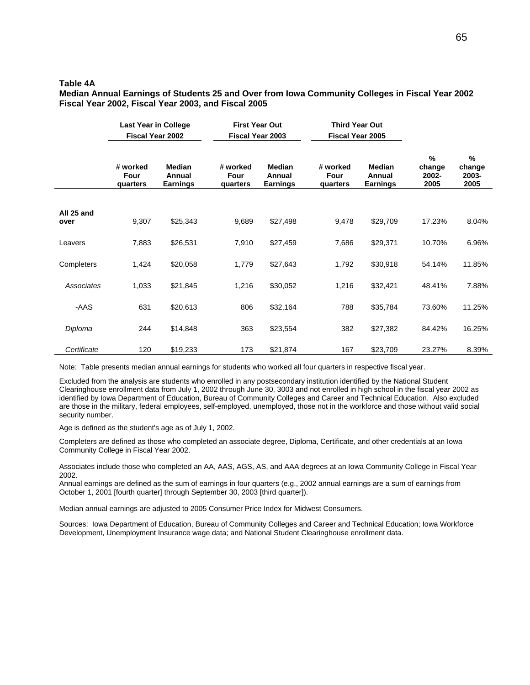### **Table 4A**

**Median Annual Earnings of Students 25 and Over from Iowa Community Colleges in Fiscal Year 2002 Fiscal Year 2002, Fiscal Year 2003, and Fiscal 2005** 

|                    | <b>Last Year in College</b><br><b>Fiscal Year 2002</b> |                                            | <b>First Year Out</b><br><b>Fiscal Year 2003</b> | <b>Third Year Out</b><br>Fiscal Year 2005  |                              |                                            |                                 |                              |
|--------------------|--------------------------------------------------------|--------------------------------------------|--------------------------------------------------|--------------------------------------------|------------------------------|--------------------------------------------|---------------------------------|------------------------------|
|                    | # worked<br>Four<br>quarters                           | <b>Median</b><br>Annual<br><b>Earnings</b> | # worked<br>Four<br><b>quarters</b>              | <b>Median</b><br>Annual<br><b>Earnings</b> | # worked<br>Four<br>quarters | <b>Median</b><br>Annual<br><b>Earnings</b> | $\%$<br>change<br>2002-<br>2005 | %<br>change<br>2003-<br>2005 |
|                    |                                                        |                                            |                                                  |                                            |                              |                                            |                                 |                              |
| All 25 and<br>over | 9,307                                                  | \$25,343                                   | 9,689                                            | \$27,498                                   | 9,478                        | \$29,709                                   | 17.23%                          | 8.04%                        |
| Leavers            | 7,883                                                  | \$26,531                                   | 7,910                                            | \$27,459                                   | 7,686                        | \$29,371                                   | 10.70%                          | 6.96%                        |
| Completers         | 1,424                                                  | \$20,058                                   | 1,779                                            | \$27,643                                   | 1,792                        | \$30,918                                   | 54.14%                          | 11.85%                       |
| Associates         | 1,033                                                  | \$21,845                                   | 1,216                                            | \$30,052                                   | 1,216                        | \$32,421                                   | 48.41%                          | 7.88%                        |
| -AAS               | 631                                                    | \$20,613                                   | 806                                              | \$32,164                                   | 788                          | \$35,784                                   | 73.60%                          | 11.25%                       |
| Diploma            | 244                                                    | \$14,848                                   | 363                                              | \$23,554                                   | 382                          | \$27,382                                   | 84.42%                          | 16.25%                       |
| Certificate        | 120                                                    | \$19,233                                   | 173                                              | \$21,874                                   | 167                          | \$23,709                                   | 23.27%                          | 8.39%                        |

Note: Table presents median annual earnings for students who worked all four quarters in respective fiscal year.

Excluded from the analysis are students who enrolled in any postsecondary institution identified by the National Student Clearinghouse enrollment data from July 1, 2002 through June 30, 3003 and not enrolled in high school in the fiscal year 2002 as identified by Iowa Department of Education, Bureau of Community Colleges and Career and Technical Education. Also excluded are those in the military, federal employees, self-employed, unemployed, those not in the workforce and those without valid social security number.

Age is defined as the student's age as of July 1, 2002.

Completers are defined as those who completed an associate degree, Diploma, Certificate, and other credentials at an Iowa Community College in Fiscal Year 2002.

Associates include those who completed an AA, AAS, AGS, AS, and AAA degrees at an Iowa Community College in Fiscal Year 2002.

Annual earnings are defined as the sum of earnings in four quarters (e.g., 2002 annual earnings are a sum of earnings from October 1, 2001 [fourth quarter] through September 30, 2003 [third quarter]).

Median annual earnings are adjusted to 2005 Consumer Price Index for Midwest Consumers.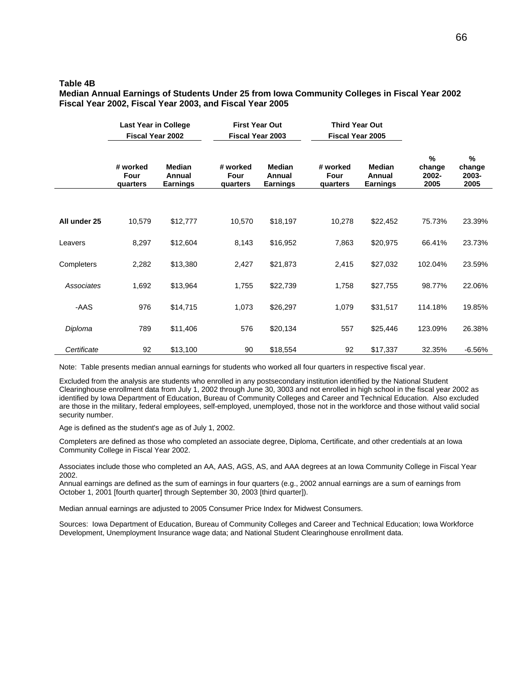### **Table 4B**

**Median Annual Earnings of Students Under 25 from Iowa Community Colleges in Fiscal Year 2002 Fiscal Year 2002, Fiscal Year 2003, and Fiscal Year 2005** 

|              | <b>Last Year in College</b><br><b>Fiscal Year 2002</b> |                                            | <b>First Year Out</b><br><b>Fiscal Year 2003</b> | <b>Third Year Out</b><br>Fiscal Year 2005  |                              |                                            |                                 |                              |
|--------------|--------------------------------------------------------|--------------------------------------------|--------------------------------------------------|--------------------------------------------|------------------------------|--------------------------------------------|---------------------------------|------------------------------|
|              | # worked<br>Four<br>quarters                           | <b>Median</b><br>Annual<br><b>Earnings</b> | # worked<br>Four<br><b>quarters</b>              | <b>Median</b><br>Annual<br><b>Earnings</b> | # worked<br>Four<br>quarters | <b>Median</b><br>Annual<br><b>Earnings</b> | $\%$<br>change<br>2002-<br>2005 | %<br>change<br>2003-<br>2005 |
|              |                                                        |                                            |                                                  |                                            |                              |                                            |                                 |                              |
| All under 25 | 10,579                                                 | \$12,777                                   | 10,570                                           | \$18,197                                   | 10,278                       | \$22,452                                   | 75.73%                          | 23.39%                       |
| Leavers      | 8,297                                                  | \$12,604                                   | 8,143                                            | \$16,952                                   | 7,863                        | \$20,975                                   | 66.41%                          | 23.73%                       |
| Completers   | 2,282                                                  | \$13,380                                   | 2,427                                            | \$21,873                                   | 2,415                        | \$27,032                                   | 102.04%                         | 23.59%                       |
| Associates   | 1,692                                                  | \$13,964                                   | 1,755                                            | \$22,739                                   | 1,758                        | \$27,755                                   | 98.77%                          | 22.06%                       |
| -AAS         | 976                                                    | \$14,715                                   | 1,073                                            | \$26,297                                   | 1,079                        | \$31,517                                   | 114.18%                         | 19.85%                       |
| Diploma      | 789                                                    | \$11,406                                   | 576                                              | \$20,134                                   | 557                          | \$25,446                                   | 123.09%                         | 26.38%                       |
| Certificate  | 92                                                     | \$13,100                                   | 90                                               | \$18,554                                   | 92                           | \$17,337                                   | 32.35%                          | $-6.56%$                     |

Note: Table presents median annual earnings for students who worked all four quarters in respective fiscal year.

Excluded from the analysis are students who enrolled in any postsecondary institution identified by the National Student Clearinghouse enrollment data from July 1, 2002 through June 30, 3003 and not enrolled in high school in the fiscal year 2002 as identified by Iowa Department of Education, Bureau of Community Colleges and Career and Technical Education. Also excluded are those in the military, federal employees, self-employed, unemployed, those not in the workforce and those without valid social security number.

Age is defined as the student's age as of July 1, 2002.

Completers are defined as those who completed an associate degree, Diploma, Certificate, and other credentials at an Iowa Community College in Fiscal Year 2002.

Associates include those who completed an AA, AAS, AGS, AS, and AAA degrees at an Iowa Community College in Fiscal Year 2002.

Annual earnings are defined as the sum of earnings in four quarters (e.g., 2002 annual earnings are a sum of earnings from October 1, 2001 [fourth quarter] through September 30, 2003 [third quarter]).

Median annual earnings are adjusted to 2005 Consumer Price Index for Midwest Consumers.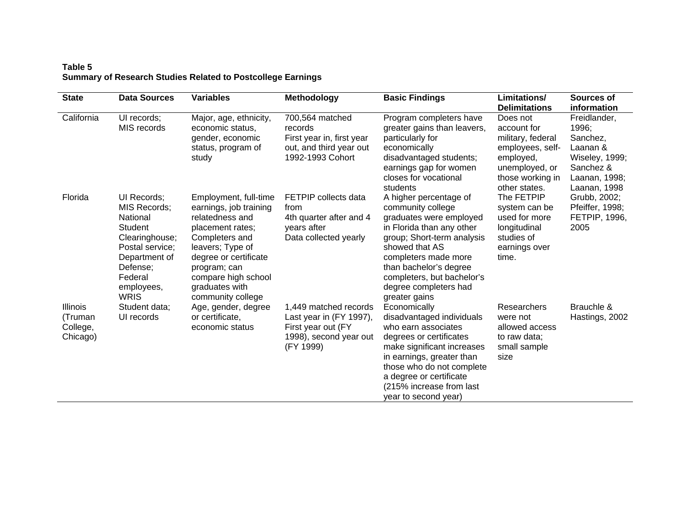## **Table 5 Summary of Research Studies Related to Postcollege Earnings**

| <b>State</b>                                       | <b>Data Sources</b>                                                                                                                                                        | <b>Variables</b>                                                                                                                                                                                                                    | <b>Methodology</b>                                                                                            | <b>Basic Findings</b>                                                                                                                                                                                                                                                         | Limitations/<br><b>Delimitations</b>                                                                                                 | Sources of<br>information                                                                                            |
|----------------------------------------------------|----------------------------------------------------------------------------------------------------------------------------------------------------------------------------|-------------------------------------------------------------------------------------------------------------------------------------------------------------------------------------------------------------------------------------|---------------------------------------------------------------------------------------------------------------|-------------------------------------------------------------------------------------------------------------------------------------------------------------------------------------------------------------------------------------------------------------------------------|--------------------------------------------------------------------------------------------------------------------------------------|----------------------------------------------------------------------------------------------------------------------|
| California                                         | UI records;<br>MIS records                                                                                                                                                 | Major, age, ethnicity,<br>economic status,<br>gender, economic<br>status, program of<br>study                                                                                                                                       | 700,564 matched<br>records<br>First year in, first year<br>out, and third year out<br>1992-1993 Cohort        | Program completers have<br>greater gains than leavers,<br>particularly for<br>economically<br>disadvantaged students;<br>earnings gap for women<br>closes for vocational<br>students                                                                                          | Does not<br>account for<br>military, federal<br>employees, self-<br>employed,<br>unemployed, or<br>those working in<br>other states. | Freidlander,<br>1996;<br>Sanchez,<br>Laanan &<br><b>Wiseley, 1999;</b><br>Sanchez &<br>Laanan, 1998;<br>Laanan, 1998 |
| Florida                                            | UI Records;<br><b>MIS Records;</b><br>National<br><b>Student</b><br>Clearinghouse;<br>Postal service;<br>Department of<br>Defense;<br>Federal<br>employees,<br><b>WRIS</b> | Employment, full-time<br>earnings, job training<br>relatedness and<br>placement rates;<br>Completers and<br>leavers; Type of<br>degree or certificate<br>program; can<br>compare high school<br>graduates with<br>community college | FETPIP collects data<br>from<br>4th quarter after and 4<br>years after<br>Data collected yearly               | A higher percentage of<br>community college<br>graduates were employed<br>in Florida than any other<br>group; Short-term analysis<br>showed that AS<br>completers made more<br>than bachelor's degree<br>completers, but bachelor's<br>degree completers had<br>greater gains | The FETPIP<br>system can be<br>used for more<br>longitudinal<br>studies of<br>earnings over<br>time.                                 | Grubb, 2002;<br>Pfeiffer, 1998;<br><b>FETPIP, 1996,</b><br>2005                                                      |
| <b>Illinois</b><br>(Truman<br>College,<br>Chicago) | Student data;<br>UI records                                                                                                                                                | Age, gender, degree<br>or certificate,<br>economic status                                                                                                                                                                           | 1,449 matched records<br>Last year in (FY 1997),<br>First year out (FY<br>1998), second year out<br>(FY 1999) | Economically<br>disadvantaged individuals<br>who earn associates<br>degrees or certificates<br>make significant increases<br>in earnings, greater than<br>those who do not complete<br>a degree or certificate<br>(215% increase from last<br>year to second year)            | Researchers<br>were not<br>allowed access<br>to raw data;<br>small sample<br>size                                                    | Brauchle &<br>Hastings, 2002                                                                                         |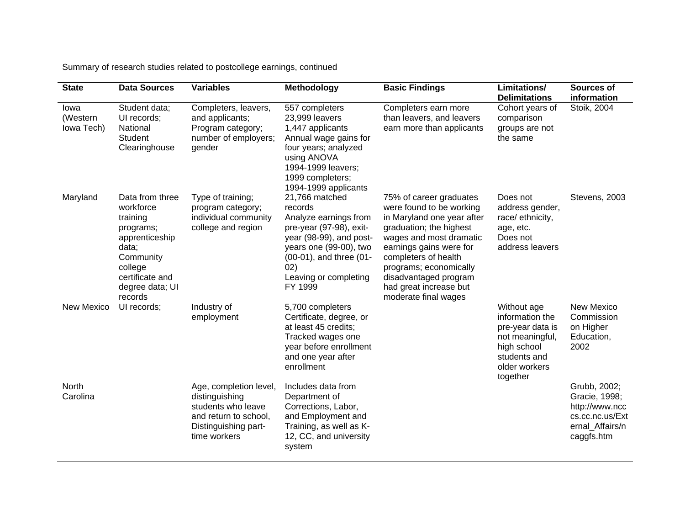Summary of research studies related to postcollege earnings, continued

| <b>State</b>                   | <b>Data Sources</b>                                                                                                                                       | <b>Variables</b>                                                                                                                | Methodology                                                                                                                                                                                              | <b>Basic Findings</b>                                                                                                                                                                                                                                                                           | Limitations/<br><b>Delimitations</b>                                                                                              | Sources of<br>information                                                                           |
|--------------------------------|-----------------------------------------------------------------------------------------------------------------------------------------------------------|---------------------------------------------------------------------------------------------------------------------------------|----------------------------------------------------------------------------------------------------------------------------------------------------------------------------------------------------------|-------------------------------------------------------------------------------------------------------------------------------------------------------------------------------------------------------------------------------------------------------------------------------------------------|-----------------------------------------------------------------------------------------------------------------------------------|-----------------------------------------------------------------------------------------------------|
| Iowa<br>(Western<br>lowa Tech) | Student data;<br>UI records;<br>National<br><b>Student</b><br>Clearinghouse                                                                               | Completers, leavers,<br>and applicants;<br>Program category;<br>number of employers;<br>gender                                  | 557 completers<br>23,999 leavers<br>1,447 applicants<br>Annual wage gains for<br>four years; analyzed<br>using ANOVA<br>1994-1999 leavers;<br>1999 completers;<br>1994-1999 applicants                   | Completers earn more<br>than leavers, and leavers<br>earn more than applicants                                                                                                                                                                                                                  | Cohort years of<br>comparison<br>groups are not<br>the same                                                                       | Stoik, 2004                                                                                         |
| Maryland                       | Data from three<br>workforce<br>training<br>programs;<br>apprenticeship<br>data;<br>Community<br>college<br>certificate and<br>degree data; UI<br>records | Type of training;<br>program category;<br>individual community<br>college and region                                            | 21,766 matched<br>records<br>Analyze earnings from<br>pre-year (97-98), exit-<br>year (98-99), and post-<br>years one (99-00), two<br>(00-01), and three (01-<br>02)<br>Leaving or completing<br>FY 1999 | 75% of career graduates<br>were found to be working<br>in Maryland one year after<br>graduation; the highest<br>wages and most dramatic<br>earnings gains were for<br>completers of health<br>programs; economically<br>disadvantaged program<br>had great increase but<br>moderate final wages | Does not<br>address gender,<br>race/ ethnicity,<br>age, etc.<br>Does not<br>address leavers                                       | Stevens, 2003                                                                                       |
| New Mexico                     | UI records;                                                                                                                                               | Industry of<br>employment                                                                                                       | 5,700 completers<br>Certificate, degree, or<br>at least 45 credits;<br>Tracked wages one<br>year before enrollment<br>and one year after<br>enrollment                                                   |                                                                                                                                                                                                                                                                                                 | Without age<br>information the<br>pre-year data is<br>not meaningful,<br>high school<br>students and<br>older workers<br>together | <b>New Mexico</b><br>Commission<br>on Higher<br>Education,<br>2002                                  |
| North<br>Carolina              |                                                                                                                                                           | Age, completion level,<br>distinguishing<br>students who leave<br>and return to school,<br>Distinguishing part-<br>time workers | Includes data from<br>Department of<br>Corrections, Labor,<br>and Employment and<br>Training, as well as K-<br>12, CC, and university<br>system                                                          |                                                                                                                                                                                                                                                                                                 |                                                                                                                                   | Grubb, 2002;<br>Gracie, 1998;<br>http://www.ncc<br>cs.cc.nc.us/Ext<br>ernal Affairs/n<br>caggfs.htm |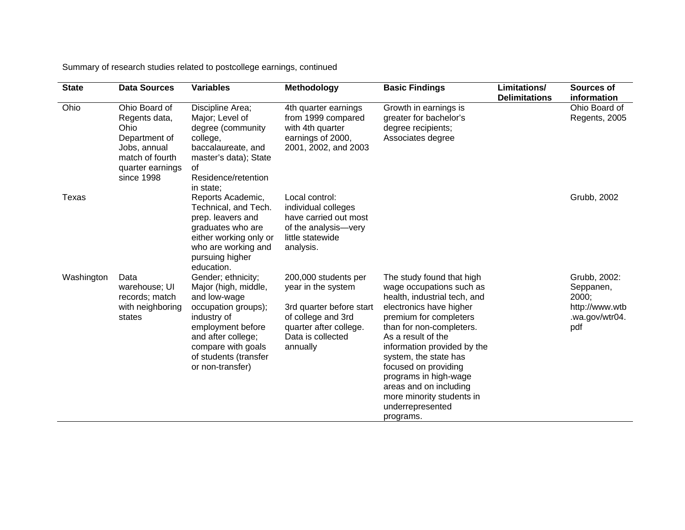Summary of research studies related to postcollege earnings, continued

| <b>State</b> | <b>Data Sources</b>                                                                                                          | <b>Variables</b>                                                                                                                                                                                               | Methodology                                                                                                                                             | <b>Basic Findings</b>                                                                                                                                                                                                                                                                                                                                                                         | Limitations/<br><b>Delimitations</b> | Sources of<br>information                                                     |
|--------------|------------------------------------------------------------------------------------------------------------------------------|----------------------------------------------------------------------------------------------------------------------------------------------------------------------------------------------------------------|---------------------------------------------------------------------------------------------------------------------------------------------------------|-----------------------------------------------------------------------------------------------------------------------------------------------------------------------------------------------------------------------------------------------------------------------------------------------------------------------------------------------------------------------------------------------|--------------------------------------|-------------------------------------------------------------------------------|
| Ohio         | Ohio Board of<br>Regents data,<br>Ohio<br>Department of<br>Jobs, annual<br>match of fourth<br>quarter earnings<br>since 1998 | Discipline Area;<br>Major; Level of<br>degree (community<br>college,<br>baccalaureate, and<br>master's data); State<br>of<br>Residence/retention<br>in state;                                                  | 4th quarter earnings<br>from 1999 compared<br>with 4th quarter<br>earnings of 2000,<br>2001, 2002, and 2003                                             | Growth in earnings is<br>greater for bachelor's<br>degree recipients;<br>Associates degree                                                                                                                                                                                                                                                                                                    |                                      | Ohio Board of<br>Regents, 2005                                                |
| Texas        |                                                                                                                              | Reports Academic,<br>Technical, and Tech.<br>prep. leavers and<br>graduates who are<br>either working only or<br>who are working and<br>pursuing higher<br>education.                                          | Local control:<br>individual colleges<br>have carried out most<br>of the analysis-very<br>little statewide<br>analysis.                                 |                                                                                                                                                                                                                                                                                                                                                                                               |                                      | Grubb, 2002                                                                   |
| Washington   | Data<br>warehouse; UI<br>records; match<br>with neighboring<br>states                                                        | Gender; ethnicity;<br>Major (high, middle,<br>and low-wage<br>occupation groups);<br>industry of<br>employment before<br>and after college;<br>compare with goals<br>of students (transfer<br>or non-transfer) | 200,000 students per<br>year in the system<br>3rd quarter before start<br>of college and 3rd<br>quarter after college.<br>Data is collected<br>annually | The study found that high<br>wage occupations such as<br>health, industrial tech, and<br>electronics have higher<br>premium for completers<br>than for non-completers.<br>As a result of the<br>information provided by the<br>system, the state has<br>focused on providing<br>programs in high-wage<br>areas and on including<br>more minority students in<br>underrepresented<br>programs. |                                      | Grubb, 2002:<br>Seppanen,<br>2000;<br>http://www.wtb<br>.wa.gov/wtr04.<br>pdf |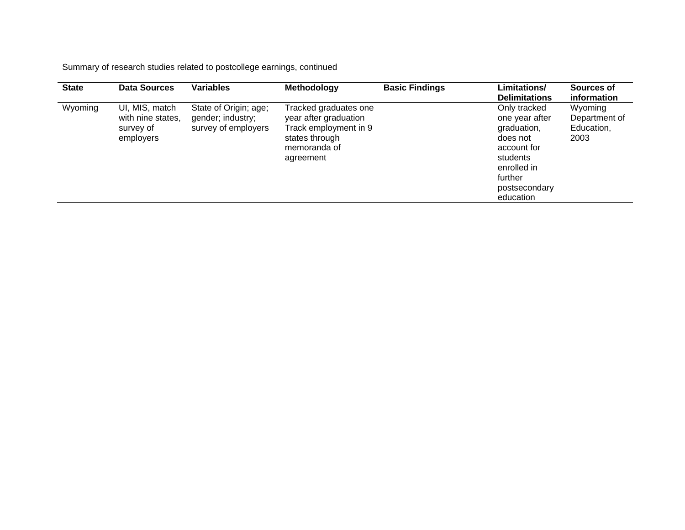Summary of research studies related to postcollege earnings, continued

| <b>State</b> | <b>Data Sources</b>                                           | <b>Variables</b>                                                  | Methodology                                                                                                            | <b>Basic Findings</b> | <b>Limitations/</b><br><b>Delimitations</b>                                                                                                  | Sources of<br>information                      |
|--------------|---------------------------------------------------------------|-------------------------------------------------------------------|------------------------------------------------------------------------------------------------------------------------|-----------------------|----------------------------------------------------------------------------------------------------------------------------------------------|------------------------------------------------|
| Wyoming      | UI, MIS, match<br>with nine states,<br>survey of<br>employers | State of Origin; age;<br>gender; industry;<br>survey of employers | Tracked graduates one<br>year after graduation<br>Track employment in 9<br>states through<br>memoranda of<br>agreement |                       | Only tracked<br>one year after<br>graduation,<br>does not<br>account for<br>students<br>enrolled in<br>further<br>postsecondary<br>education | Wyoming<br>Department of<br>Education,<br>2003 |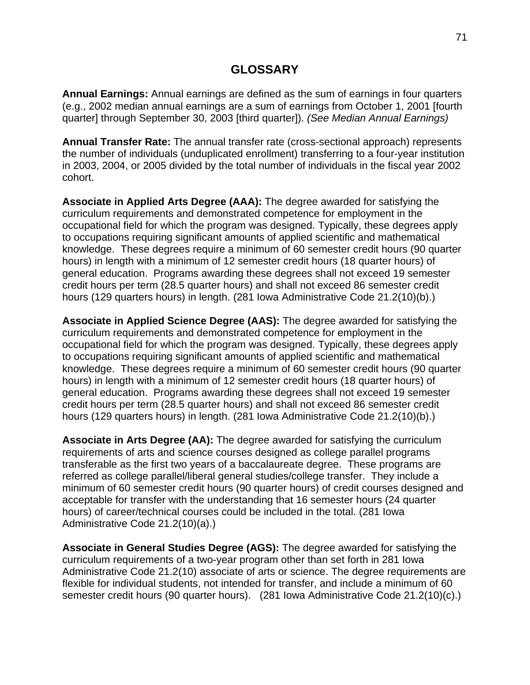# **GLOSSARY**

**Annual Earnings:** Annual earnings are defined as the sum of earnings in four quarters (e.g., 2002 median annual earnings are a sum of earnings from October 1, 2001 [fourth quarter] through September 30, 2003 [third quarter]). *(See Median Annual Earnings)*

**Annual Transfer Rate:** The annual transfer rate (cross-sectional approach) represents the number of individuals (unduplicated enrollment) transferring to a four-year institution in 2003, 2004, or 2005 divided by the total number of individuals in the fiscal year 2002 cohort.

**Associate in Applied Arts Degree (AAA):** The degree awarded for satisfying the curriculum requirements and demonstrated competence for employment in the occupational field for which the program was designed. Typically, these degrees apply to occupations requiring significant amounts of applied scientific and mathematical knowledge. These degrees require a minimum of 60 semester credit hours (90 quarter hours) in length with a minimum of 12 semester credit hours (18 quarter hours) of general education. Programs awarding these degrees shall not exceed 19 semester credit hours per term (28.5 quarter hours) and shall not exceed 86 semester credit hours (129 quarters hours) in length. (281 Iowa Administrative Code 21.2(10)(b).)

**Associate in Applied Science Degree (AAS):** The degree awarded for satisfying the curriculum requirements and demonstrated competence for employment in the occupational field for which the program was designed. Typically, these degrees apply to occupations requiring significant amounts of applied scientific and mathematical knowledge. These degrees require a minimum of 60 semester credit hours (90 quarter hours) in length with a minimum of 12 semester credit hours (18 quarter hours) of general education. Programs awarding these degrees shall not exceed 19 semester credit hours per term (28.5 quarter hours) and shall not exceed 86 semester credit hours (129 quarters hours) in length. (281 Iowa Administrative Code 21.2(10)(b).)

**Associate in Arts Degree (AA):** The degree awarded for satisfying the curriculum requirements of arts and science courses designed as college parallel programs transferable as the first two years of a baccalaureate degree. These programs are referred as college parallel/liberal general studies/college transfer. They include a minimum of 60 semester credit hours (90 quarter hours) of credit courses designed and acceptable for transfer with the understanding that 16 semester hours (24 quarter hours) of career/technical courses could be included in the total. (281 Iowa Administrative Code 21.2(10)(a).)

**Associate in General Studies Degree (AGS):** The degree awarded for satisfying the curriculum requirements of a two-year program other than set forth in 281 Iowa Administrative Code 21.2(10) associate of arts or science. The degree requirements are flexible for individual students, not intended for transfer, and include a minimum of 60 semester credit hours (90 quarter hours). (281 Iowa Administrative Code 21.2(10)(c).)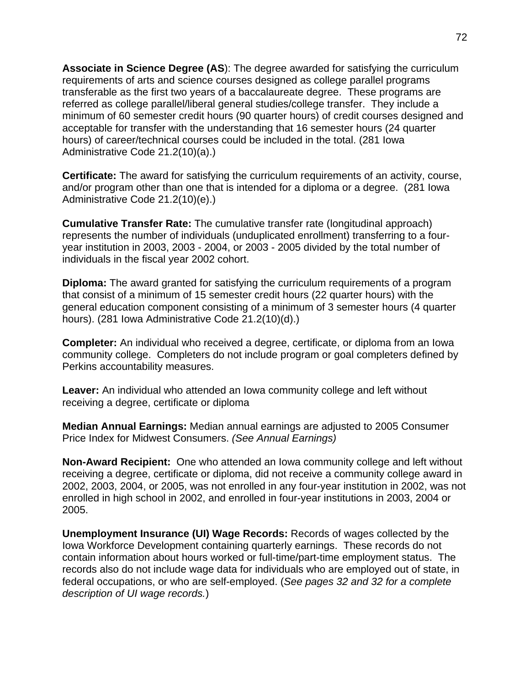**Associate in Science Degree (AS**): The degree awarded for satisfying the curriculum requirements of arts and science courses designed as college parallel programs transferable as the first two years of a baccalaureate degree. These programs are referred as college parallel/liberal general studies/college transfer. They include a minimum of 60 semester credit hours (90 quarter hours) of credit courses designed and acceptable for transfer with the understanding that 16 semester hours (24 quarter hours) of career/technical courses could be included in the total. (281 Iowa Administrative Code 21.2(10)(a).)

**Certificate:** The award for satisfying the curriculum requirements of an activity, course, and/or program other than one that is intended for a diploma or a degree. (281 Iowa Administrative Code 21.2(10)(e).)

**Cumulative Transfer Rate:** The cumulative transfer rate (longitudinal approach) represents the number of individuals (unduplicated enrollment) transferring to a fouryear institution in 2003, 2003 - 2004, or 2003 - 2005 divided by the total number of individuals in the fiscal year 2002 cohort.

**Diploma:** The award granted for satisfying the curriculum requirements of a program that consist of a minimum of 15 semester credit hours (22 quarter hours) with the general education component consisting of a minimum of 3 semester hours (4 quarter hours). (281 Iowa Administrative Code 21.2(10)(d).)

**Completer:** An individual who received a degree, certificate, or diploma from an Iowa community college. Completers do not include program or goal completers defined by Perkins accountability measures.

**Leaver:** An individual who attended an Iowa community college and left without receiving a degree, certificate or diploma

**Median Annual Earnings:** Median annual earnings are adjusted to 2005 Consumer Price Index for Midwest Consumers. *(See Annual Earnings)*

**Non-Award Recipient:** One who attended an Iowa community college and left without receiving a degree, certificate or diploma, did not receive a community college award in 2002, 2003, 2004, or 2005, was not enrolled in any four-year institution in 2002, was not enrolled in high school in 2002, and enrolled in four-year institutions in 2003, 2004 or 2005.

**Unemployment Insurance (UI) Wage Records:** Records of wages collected by the Iowa Workforce Development containing quarterly earnings. These records do not contain information about hours worked or full-time/part-time employment status. The records also do not include wage data for individuals who are employed out of state, in federal occupations, or who are self-employed. (*See pages 32 and 32 for a complete description of UI wage records.*)